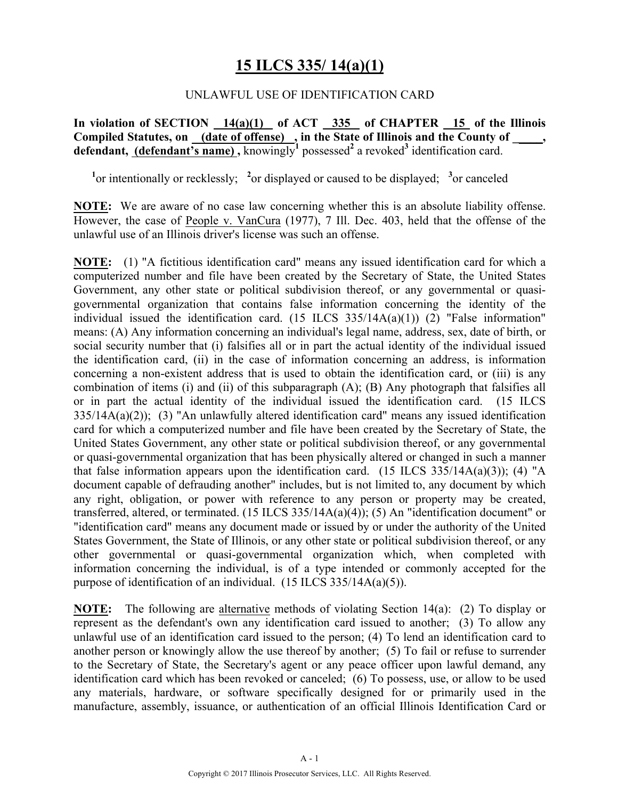# **15 ILCS 335/ 14(a)(1)**

#### UNLAWFUL USE OF IDENTIFICATION CARD

**In violation of SECTION 14(a)(1) of ACT 335 of CHAPTER 15 of the Illinois Compiled Statutes, on (date of offense) , in the State of Illinois and the County of \_\_\_\_\_, defendant, (defendant's name),** knowingly<sup>1</sup> possessed<sup>2</sup> a revoked<sup>3</sup> identification card.

<sup>1</sup><sup>or</sup> intentionally or recklessly; <sup>2</sup><sup>or</sup> displayed or caused to be displayed; <sup>3</sup><sup>or</sup> canceled

**NOTE:** We are aware of no case law concerning whether this is an absolute liability offense. However, the case of People v. VanCura (1977), 7 Ill. Dec. 403, held that the offense of the unlawful use of an Illinois driver's license was such an offense.

**NOTE:** (1) "A fictitious identification card" means any issued identification card for which a computerized number and file have been created by the Secretary of State, the United States Government, any other state or political subdivision thereof, or any governmental or quasigovernmental organization that contains false information concerning the identity of the individual issued the identification card.  $(15 \text{ ILCS } 335/14A(a)(1))$   $(2)$  "False information" means: (A) Any information concerning an individual's legal name, address, sex, date of birth, or social security number that (i) falsifies all or in part the actual identity of the individual issued the identification card, (ii) in the case of information concerning an address, is information concerning a non-existent address that is used to obtain the identification card, or (iii) is any combination of items (i) and (ii) of this subparagraph (A); (B) Any photograph that falsifies all or in part the actual identity of the individual issued the identification card. (15 ILCS 335/14A(a)(2)); (3) "An unlawfully altered identification card" means any issued identification card for which a computerized number and file have been created by the Secretary of State, the United States Government, any other state or political subdivision thereof, or any governmental or quasi-governmental organization that has been physically altered or changed in such a manner that false information appears upon the identification card. (15 ILCS  $335/14A(a)(3)$ ); (4) "A document capable of defrauding another" includes, but is not limited to, any document by which any right, obligation, or power with reference to any person or property may be created, transferred, altered, or terminated. (15 ILCS 335/14A(a)(4)); (5) An "identification document" or "identification card" means any document made or issued by or under the authority of the United States Government, the State of Illinois, or any other state or political subdivision thereof, or any other governmental or quasi-governmental organization which, when completed with information concerning the individual, is of a type intended or commonly accepted for the purpose of identification of an individual. (15 ILCS 335/14A(a)(5)).

**NOTE:** The following are alternative methods of violating Section 14(a): (2) To display or represent as the defendant's own any identification card issued to another; (3) To allow any unlawful use of an identification card issued to the person; (4) To lend an identification card to another person or knowingly allow the use thereof by another; (5) To fail or refuse to surrender to the Secretary of State, the Secretary's agent or any peace officer upon lawful demand, any identification card which has been revoked or canceled; (6) To possess, use, or allow to be used any materials, hardware, or software specifically designed for or primarily used in the manufacture, assembly, issuance, or authentication of an official Illinois Identification Card or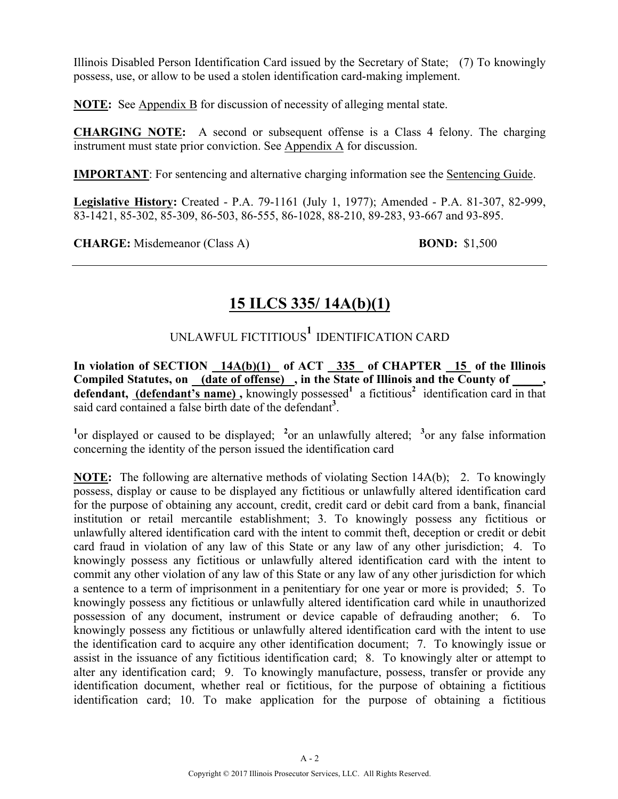Illinois Disabled Person Identification Card issued by the Secretary of State; (7) To knowingly possess, use, or allow to be used a stolen identification card-making implement.

**NOTE:** See Appendix B for discussion of necessity of alleging mental state.

**CHARGING NOTE:** A second or subsequent offense is a Class 4 felony. The charging instrument must state prior conviction. See Appendix A for discussion.

**IMPORTANT**: For sentencing and alternative charging information see the Sentencing Guide.

**Legislative History:** Created - P.A. 79-1161 (July 1, 1977); Amended - P.A. 81-307, 82-999, 83-1421, 85-302, 85-309, 86-503, 86-555, 86-1028, 88-210, 89-283, 93-667 and 93-895.

**CHARGE:** Misdemeanor (Class A) **BOND:** \$1,500

# **15 ILCS 335/ 14A(b)(1)**

UNLAWFUL FICTITIOUS**1** IDENTIFICATION CARD

In violation of SECTION 14A(b)(1) of ACT 335 of CHAPTER 15 of the Illinois Compiled Statutes, on (date of offense), in the State of Illinois and the County of defendant, (defendant's name), knowingly possessed<sup>1</sup> a fictitious<sup>2</sup> identification card in that said card contained a false birth date of the defendant**<sup>3</sup>** .

<sup>1</sup><sup>or</sup> displayed or caused to be displayed; <sup>2</sup><sup>or</sup> an unlawfully altered; <sup>3</sup><sup>or</sup> any false information concerning the identity of the person issued the identification card

**NOTE:** The following are alternative methods of violating Section 14A(b); 2. To knowingly possess, display or cause to be displayed any fictitious or unlawfully altered identification card for the purpose of obtaining any account, credit, credit card or debit card from a bank, financial institution or retail mercantile establishment; 3. To knowingly possess any fictitious or unlawfully altered identification card with the intent to commit theft, deception or credit or debit card fraud in violation of any law of this State or any law of any other jurisdiction; 4. To knowingly possess any fictitious or unlawfully altered identification card with the intent to commit any other violation of any law of this State or any law of any other jurisdiction for which a sentence to a term of imprisonment in a penitentiary for one year or more is provided; 5. To knowingly possess any fictitious or unlawfully altered identification card while in unauthorized possession of any document, instrument or device capable of defrauding another; 6. To knowingly possess any fictitious or unlawfully altered identification card with the intent to use the identification card to acquire any other identification document; 7. To knowingly issue or assist in the issuance of any fictitious identification card; 8. To knowingly alter or attempt to alter any identification card; 9. To knowingly manufacture, possess, transfer or provide any identification document, whether real or fictitious, for the purpose of obtaining a fictitious identification card; 10. To make application for the purpose of obtaining a fictitious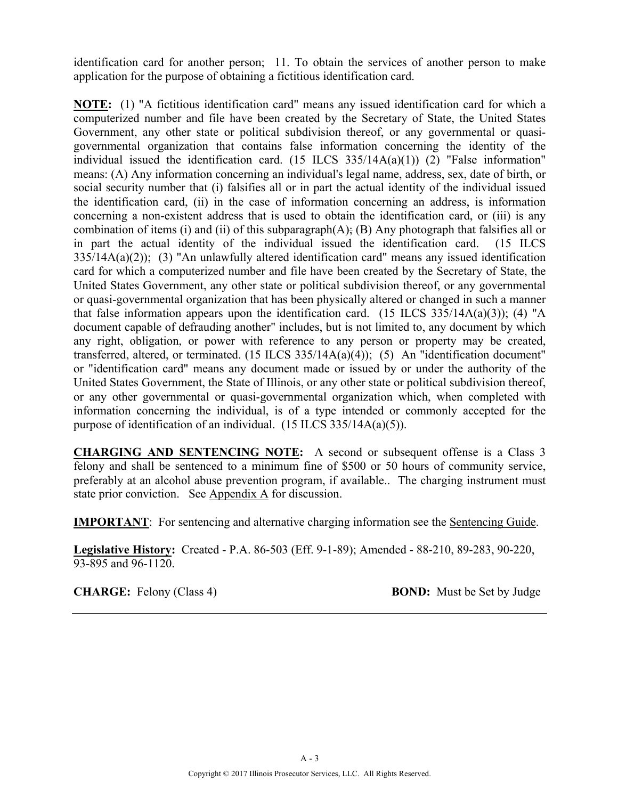identification card for another person; 11. To obtain the services of another person to make application for the purpose of obtaining a fictitious identification card.

**NOTE:** (1) "A fictitious identification card" means any issued identification card for which a computerized number and file have been created by the Secretary of State, the United States Government, any other state or political subdivision thereof, or any governmental or quasigovernmental organization that contains false information concerning the identity of the individual issued the identification card.  $(15$  ILCS  $335/14A(a)(1)$   $(2)$  "False information" means: (A) Any information concerning an individual's legal name, address, sex, date of birth, or social security number that (i) falsifies all or in part the actual identity of the individual issued the identification card, (ii) in the case of information concerning an address, is information concerning a non-existent address that is used to obtain the identification card, or (iii) is any combination of items (i) and (ii) of this subparagraph(A); (B) Any photograph that falsifies all or in part the actual identity of the individual issued the identification card. (15 ILCS  $335/14A(a)(2)$ ; (3) "An unlawfully altered identification card" means any issued identification card for which a computerized number and file have been created by the Secretary of State, the United States Government, any other state or political subdivision thereof, or any governmental or quasi-governmental organization that has been physically altered or changed in such a manner that false information appears upon the identification card. (15 ILCS 335/14A(a)(3)); (4) "A document capable of defrauding another" includes, but is not limited to, any document by which any right, obligation, or power with reference to any person or property may be created, transferred, altered, or terminated. (15 ILCS 335/14A(a)(4)); (5) An "identification document" or "identification card" means any document made or issued by or under the authority of the United States Government, the State of Illinois, or any other state or political subdivision thereof, or any other governmental or quasi-governmental organization which, when completed with information concerning the individual, is of a type intended or commonly accepted for the purpose of identification of an individual. (15 ILCS 335/14A(a)(5)).

**CHARGING AND SENTENCING NOTE:** A second or subsequent offense is a Class 3 felony and shall be sentenced to a minimum fine of \$500 or 50 hours of community service, preferably at an alcohol abuse prevention program, if available.. The charging instrument must state prior conviction. See Appendix A for discussion.

**IMPORTANT**: For sentencing and alternative charging information see the Sentencing Guide.

**Legislative History:** Created - P.A. 86-503 (Eff. 9-1-89); Amended - 88-210, 89-283, 90-220, 93-895 and 96-1120.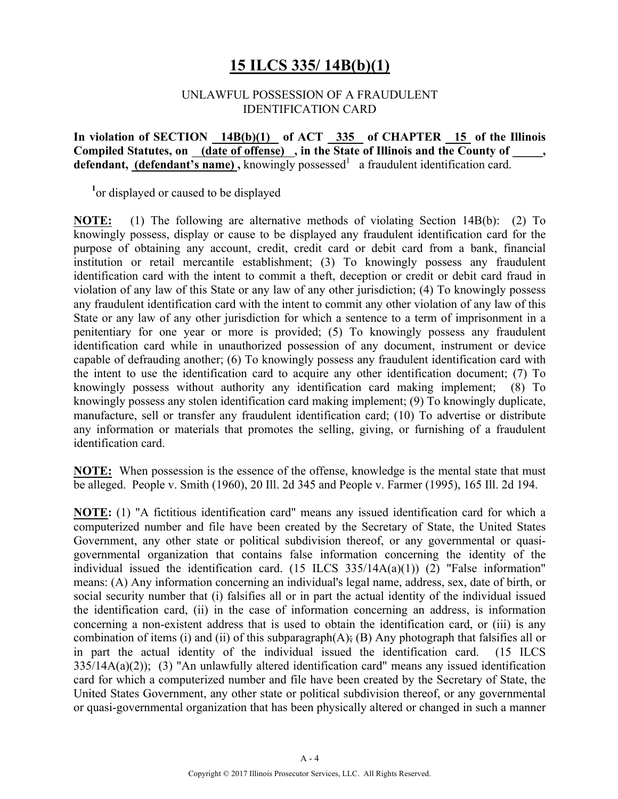### **15 ILCS 335/ 14B(b)(1)**

#### UNLAWFUL POSSESSION OF A FRAUDULENT IDENTIFICATION CARD

#### In violation of SECTION 14B(b)(1) of ACT 335 of CHAPTER 15 of the Illinois Compiled Statutes, on (date of offense), in the State of Illinois and the County of, **defendant, (defendant's name)**, knowingly possessed<sup>1</sup> a fraudulent identification card.

<sup>1</sup> or displayed or caused to be displayed

**NOTE:** (1) The following are alternative methods of violating Section 14B(b): (2) To knowingly possess, display or cause to be displayed any fraudulent identification card for the purpose of obtaining any account, credit, credit card or debit card from a bank, financial institution or retail mercantile establishment; (3) To knowingly possess any fraudulent identification card with the intent to commit a theft, deception or credit or debit card fraud in violation of any law of this State or any law of any other jurisdiction; (4) To knowingly possess any fraudulent identification card with the intent to commit any other violation of any law of this State or any law of any other jurisdiction for which a sentence to a term of imprisonment in a penitentiary for one year or more is provided; (5) To knowingly possess any fraudulent identification card while in unauthorized possession of any document, instrument or device capable of defrauding another; (6) To knowingly possess any fraudulent identification card with the intent to use the identification card to acquire any other identification document; (7) To knowingly possess without authority any identification card making implement; (8) To knowingly possess any stolen identification card making implement; (9) To knowingly duplicate, manufacture, sell or transfer any fraudulent identification card; (10) To advertise or distribute any information or materials that promotes the selling, giving, or furnishing of a fraudulent identification card.

**NOTE:** When possession is the essence of the offense, knowledge is the mental state that must be alleged. People v. Smith (1960), 20 Ill. 2d 345 and People v. Farmer (1995), 165 Ill. 2d 194.

**NOTE:** (1) "A fictitious identification card" means any issued identification card for which a computerized number and file have been created by the Secretary of State, the United States Government, any other state or political subdivision thereof, or any governmental or quasigovernmental organization that contains false information concerning the identity of the individual issued the identification card. (15 ILCS 335/14A(a)(1)) (2) "False information" means: (A) Any information concerning an individual's legal name, address, sex, date of birth, or social security number that (i) falsifies all or in part the actual identity of the individual issued the identification card, (ii) in the case of information concerning an address, is information concerning a non-existent address that is used to obtain the identification card, or (iii) is any combination of items (i) and (ii) of this subparagraph(A); (B) Any photograph that falsifies all or in part the actual identity of the individual issued the identification card. (15 ILCS 335/14A(a)(2)); (3) "An unlawfully altered identification card" means any issued identification card for which a computerized number and file have been created by the Secretary of State, the United States Government, any other state or political subdivision thereof, or any governmental or quasi-governmental organization that has been physically altered or changed in such a manner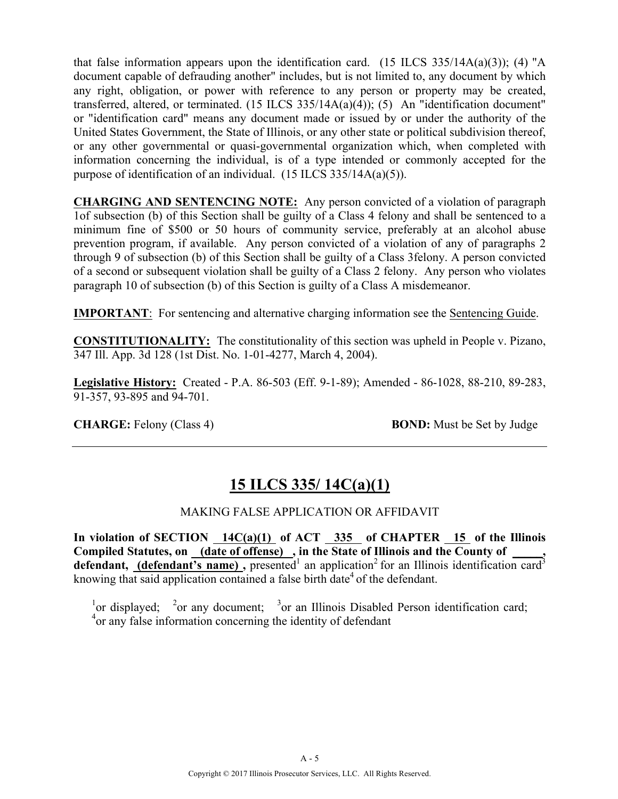that false information appears upon the identification card. (15 ILCS 335/14A(a)(3)); (4) "A document capable of defrauding another" includes, but is not limited to, any document by which any right, obligation, or power with reference to any person or property may be created, transferred, altered, or terminated. (15 ILCS 335/14A(a)(4)); (5) An "identification document" or "identification card" means any document made or issued by or under the authority of the United States Government, the State of Illinois, or any other state or political subdivision thereof, or any other governmental or quasi-governmental organization which, when completed with information concerning the individual, is of a type intended or commonly accepted for the purpose of identification of an individual. (15 ILCS 335/14A(a)(5)).

**CHARGING AND SENTENCING NOTE:** Any person convicted of a violation of paragraph 1of subsection (b) of this Section shall be guilty of a Class 4 felony and shall be sentenced to a minimum fine of \$500 or 50 hours of community service, preferably at an alcohol abuse prevention program, if available. Any person convicted of a violation of any of paragraphs 2 through 9 of subsection (b) of this Section shall be guilty of a Class 3felony. A person convicted of a second or subsequent violation shall be guilty of a Class 2 felony. Any person who violates paragraph 10 of subsection (b) of this Section is guilty of a Class A misdemeanor.

**IMPORTANT**: For sentencing and alternative charging information see the Sentencing Guide.

**CONSTITUTIONALITY:** The constitutionality of this section was upheld in People v. Pizano, 347 Ill. App. 3d 128 (1st Dist. No. 1-01-4277, March 4, 2004).

**Legislative History:** Created - P.A. 86-503 (Eff. 9-1-89); Amended - 86-1028, 88-210, 89-283, 91-357, 93-895 and 94-701.

**CHARGE:** Felony (Class 4) **BOND:** Must be Set by Judge

# **15 ILCS 335/ 14C(a)(1)**

#### MAKING FALSE APPLICATION OR AFFIDAVIT

In violation of SECTION 14C(a)(1) of ACT 335 of CHAPTER 15 of the Illinois Compiled Statutes, on (date of offense), in the State of Illinois and the County of **defendant, (defendant's name)**, presented<sup>1</sup> an application<sup>2</sup> for an Illinois identification card<sup>3</sup> knowing that said application contained a false birth date<sup>4</sup> of the defendant.

<sup>1</sup>or displayed; <sup>2</sup>or any document; <sup>3</sup>or an Illinois Disabled Person identification card; <sup>4</sup> or any false information concerning the identity of defendant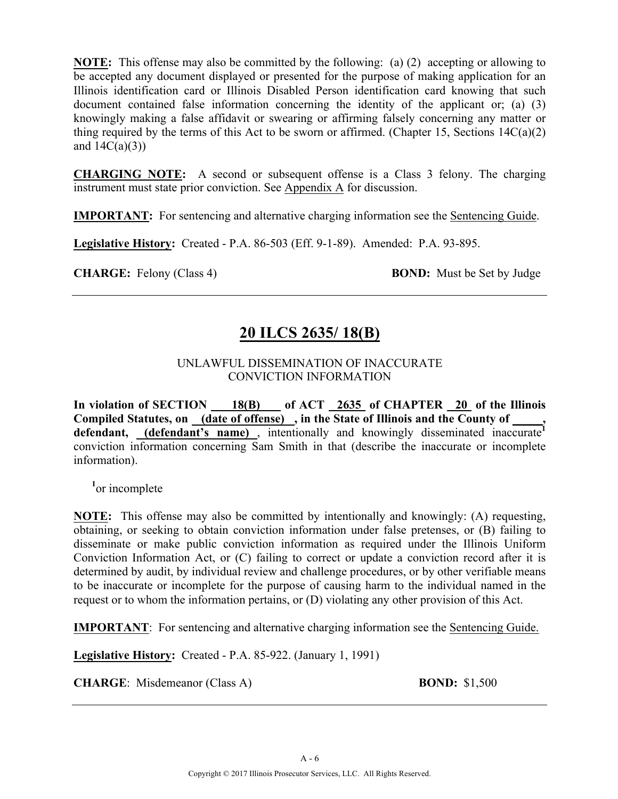**NOTE:** This offense may also be committed by the following: (a) (2) accepting or allowing to be accepted any document displayed or presented for the purpose of making application for an Illinois identification card or Illinois Disabled Person identification card knowing that such document contained false information concerning the identity of the applicant or; (a) (3) knowingly making a false affidavit or swearing or affirming falsely concerning any matter or thing required by the terms of this Act to be sworn or affirmed. (Chapter 15, Sections  $14C(a)(2)$ ) and  $14C(a)(3)$ )

**CHARGING NOTE:** A second or subsequent offense is a Class 3 felony. The charging instrument must state prior conviction. See Appendix A for discussion.

**IMPORTANT:** For sentencing and alternative charging information see the Sentencing Guide.

**Legislative History:** Created - P.A. 86-503 (Eff. 9-1-89). Amended: P.A. 93-895.

**CHARGE:** Felony (Class 4) **BOND:** Must be Set by Judge

# **20 ILCS 2635/ 18(B)**

#### UNLAWFUL DISSEMINATION OF INACCURATE CONVICTION INFORMATION

**In violation of SECTION 18(B) of ACT 2635 of CHAPTER 20 of the Illinois Compiled Statutes, on (date of offense) , in the State of Illinois and the County of \_\_\_\_\_,**  defendant, **(defendant's name)**, intentionally and knowingly disseminated inaccurate<sup>1</sup> conviction information concerning Sam Smith in that (describe the inaccurate or incomplete information).

<sup>1</sup><sub>or</sub> incomplete

**NOTE:** This offense may also be committed by intentionally and knowingly: (A) requesting, obtaining, or seeking to obtain conviction information under false pretenses, or (B) failing to disseminate or make public conviction information as required under the Illinois Uniform Conviction Information Act, or (C) failing to correct or update a conviction record after it is determined by audit, by individual review and challenge procedures, or by other verifiable means to be inaccurate or incomplete for the purpose of causing harm to the individual named in the request or to whom the information pertains, or (D) violating any other provision of this Act.

**IMPORTANT**: For sentencing and alternative charging information see the Sentencing Guide.

**Legislative History:** Created - P.A. 85-922. (January 1, 1991)

**CHARGE**: Misdemeanor (Class A) **BOND:** \$1,500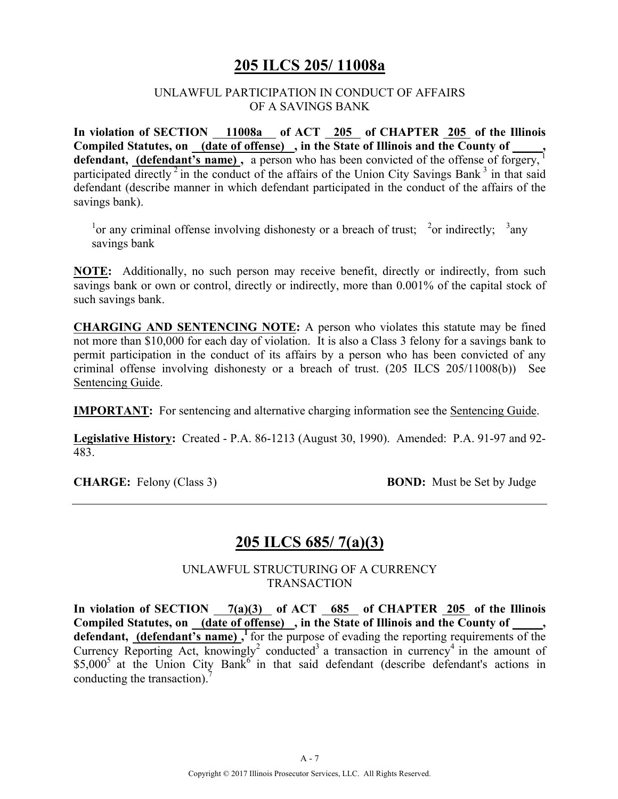### **205 ILCS 205/ 11008a**

#### UNLAWFUL PARTICIPATION IN CONDUCT OF AFFAIRS OF A SAVINGS BANK

In violation of SECTION 11008a of ACT 205 of CHAPTER 205 of the Illinois Compiled Statutes, on <u>(date of offense)</u>, in the State of Illinois and the County of defendant, (defendant's name), a person who has been convicted of the offense of forgery,<sup>1</sup> participated directly<sup>2</sup> in the conduct of the affairs of the Union City Savings Bank<sup>3</sup> in that said defendant (describe manner in which defendant participated in the conduct of the affairs of the savings bank).

<sup>1</sup> or any criminal offense involving dishonesty or a breach of trust; <sup>2</sup> or indirectly; <sup>3</sup> any savings bank

**NOTE:** Additionally, no such person may receive benefit, directly or indirectly, from such savings bank or own or control, directly or indirectly, more than 0.001% of the capital stock of such savings bank.

**CHARGING AND SENTENCING NOTE:** A person who violates this statute may be fined not more than \$10,000 for each day of violation. It is also a Class 3 felony for a savings bank to permit participation in the conduct of its affairs by a person who has been convicted of any criminal offense involving dishonesty or a breach of trust. (205 ILCS 205/11008(b)) See Sentencing Guide.

**IMPORTANT:** For sentencing and alternative charging information see the Sentencing Guide.

**Legislative History:** Created - P.A. 86-1213 (August 30, 1990). Amended: P.A. 91-97 and 92- 483.

**CHARGE:** Felony (Class 3) **BOND:** Must be Set by Judge

### **205 ILCS 685/ 7(a)(3)**

UNLAWFUL STRUCTURING OF A CURRENCY **TRANSACTION** 

**In violation of SECTION 7(a)(3) of ACT 685 of CHAPTER 205 of the Illinois**  Compiled Statutes, on (date of offense), in the State of Illinois and the County of defendant, (defendant's name),<sup>1</sup> for the purpose of evading the reporting requirements of the Currency Reporting Act, knowingly<sup>2</sup> conducted<sup>3</sup> a transaction in currency<sup>4</sup> in the amount of  $$5,000^5$  at the Union City Bank<sup>6</sup> in that said defendant (describe defendant's actions in conducting the transaction).<sup>7</sup>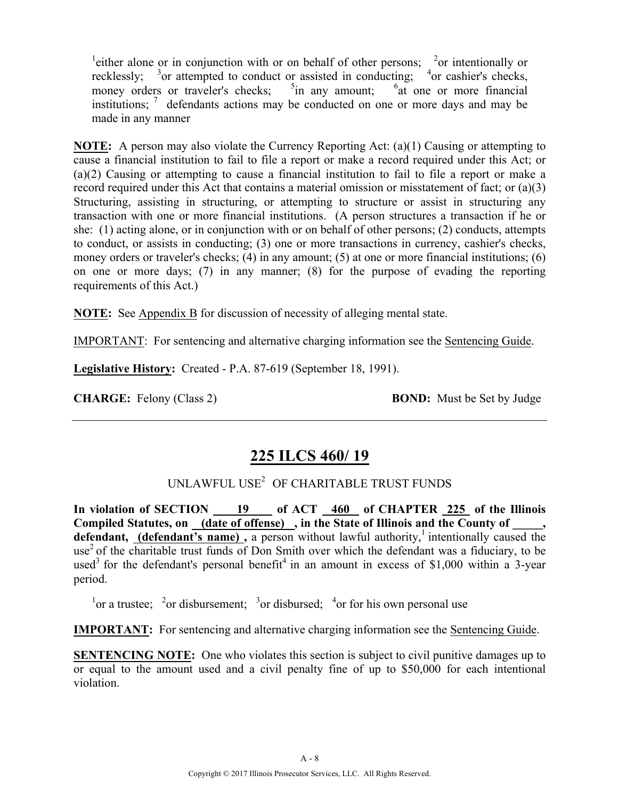<sup>1</sup> either alone or in conjunction with or on behalf of other persons; <sup>2</sup> or intentionally or recklessly;  $3$  or attempted to conduct or assisted in conducting;  $4$  or cashier's checks, money orders or traveler's checks;  $\frac{5}{1}$ in any amount; <sup>6</sup> at one or more financial institutions;  $\frac{7}{1}$  defendants actions may be conducted on one or more days and may be made in any manner

**NOTE:** A person may also violate the Currency Reporting Act: (a)(1) Causing or attempting to cause a financial institution to fail to file a report or make a record required under this Act; or (a)(2) Causing or attempting to cause a financial institution to fail to file a report or make a record required under this Act that contains a material omission or misstatement of fact; or (a)(3) Structuring, assisting in structuring, or attempting to structure or assist in structuring any transaction with one or more financial institutions. (A person structures a transaction if he or she: (1) acting alone, or in conjunction with or on behalf of other persons; (2) conducts, attempts to conduct, or assists in conducting; (3) one or more transactions in currency, cashier's checks, money orders or traveler's checks; (4) in any amount; (5) at one or more financial institutions; (6) on one or more days; (7) in any manner; (8) for the purpose of evading the reporting requirements of this Act.)

**NOTE:** See Appendix B for discussion of necessity of alleging mental state.

IMPORTANT: For sentencing and alternative charging information see the Sentencing Guide.

**Legislative History:** Created - P.A. 87-619 (September 18, 1991).

**CHARGE:** Felony (Class 2) **BOND:** Must be Set by Judge

### **225 ILCS 460/ 19**

### UNLAWFUL USE<sup>2</sup> OF CHARITABLE TRUST FUNDS

**In violation of SECTION 19 of ACT 460 of CHAPTER 225 of the Illinois Compiled Statutes, on (date of offense) , in the State of Illinois and the County of \_\_\_\_\_, defendant, (defendant's name)**, a person without lawful authority,<sup>1</sup> intentionally caused the use<sup>2</sup> of the charitable trust funds of Don Smith over which the defendant was a fiduciary, to be used<sup>3</sup> for the defendant's personal benefit<sup>4</sup> in an amount in excess of \$1,000 within a 3-year period.

<sup>1</sup> or a trustee; <sup>2</sup> or disbursement; <sup>3</sup> or disbursed; <sup>4</sup> or for his own personal use

**IMPORTANT:** For sentencing and alternative charging information see the Sentencing Guide.

**SENTENCING NOTE:** One who violates this section is subject to civil punitive damages up to or equal to the amount used and a civil penalty fine of up to \$50,000 for each intentional violation.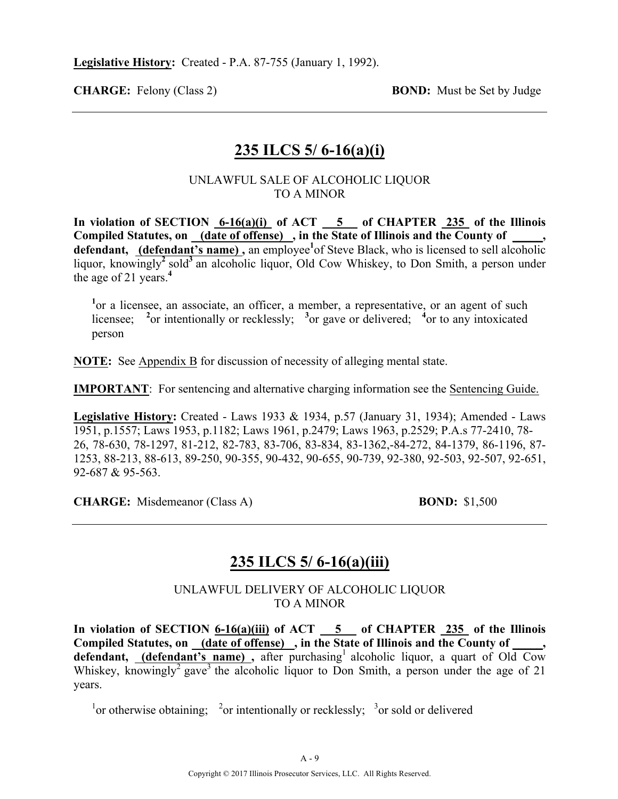**CHARGE:** Felony (Class 2) **BOND:** Must be Set by Judge

### **235 ILCS 5/ 6-16(a)(i)**

#### UNLAWFUL SALE OF ALCOHOLIC LIQUOR TO A MINOR

**In violation of SECTION 6-16(a)(i) of ACT 5 of CHAPTER 235 of the Illinois Compiled Statutes, on (date of offense) , in the State of Illinois and the County of \_\_\_\_\_,**  defendant, (defendant's name), an employee<sup>1</sup> of Steve Black, who is licensed to sell alcoholic liquor, knowingly<sup>2</sup> sold<sup>3</sup> an alcoholic liquor, Old Cow Whiskey, to Don Smith, a person under the age of 21 years.**<sup>4</sup>**

<sup>1</sup>or a licensee, an associate, an officer, a member, a representative, or an agent of such licensee; <sup>2</sup> or intentionally or recklessly; <sup>3</sup> or gave or delivered; <sup>4</sup> or to any intoxicated person

**NOTE:** See Appendix B for discussion of necessity of alleging mental state.

**IMPORTANT**: For sentencing and alternative charging information see the Sentencing Guide.

**Legislative History:** Created - Laws 1933 & 1934, p.57 (January 31, 1934); Amended - Laws 1951, p.1557; Laws 1953, p.1182; Laws 1961, p.2479; Laws 1963, p.2529; P.A.s 77-2410, 78- 26, 78-630, 78-1297, 81-212, 82-783, 83-706, 83-834, 83-1362,-84-272, 84-1379, 86-1196, 87- 1253, 88-213, 88-613, 89-250, 90-355, 90-432, 90-655, 90-739, 92-380, 92-503, 92-507, 92-651, 92-687 & 95-563.

**CHARGE:** Misdemeanor (Class A) **BOND:** \$1,500

# **235 ILCS 5/ 6-16(a)(iii)**

UNLAWFUL DELIVERY OF ALCOHOLIC LIQUOR TO A MINOR

**In violation of SECTION 6-16(a)(iii) of ACT 5 of CHAPTER 235 of the Illinois**  Compiled Statutes, on (date of offense), in the State of Illinois and the County of defendant, (defendant's name), after purchasing<sup>1</sup> alcoholic liquor, a quart of Old Cow Whiskey, knowingly<sup>2</sup> gave<sup>3</sup> the alcoholic liquor to Don Smith, a person under the age of 21 years.

<sup>1</sup> or otherwise obtaining;  $\frac{2}{3}$  or intentionally or recklessly;  $\frac{3}{3}$  or sold or delivered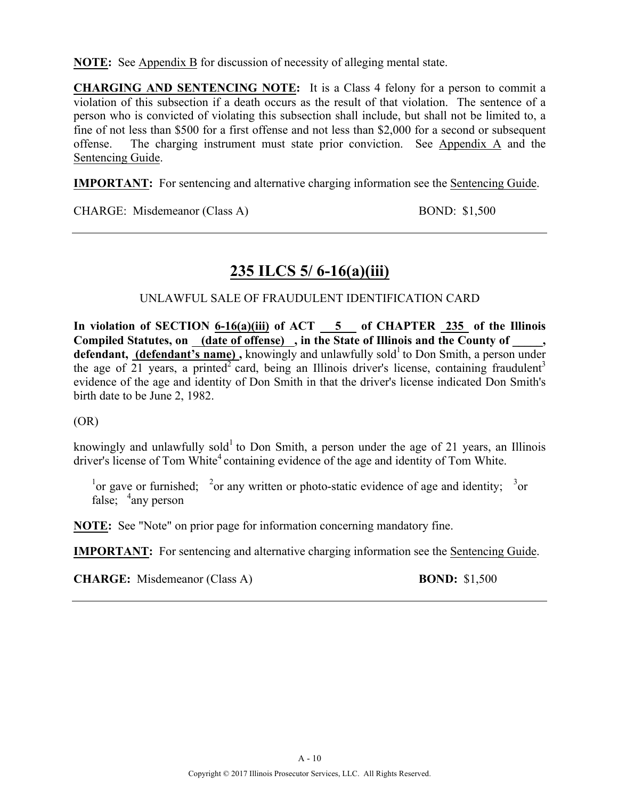**NOTE:** See Appendix B for discussion of necessity of alleging mental state.

**CHARGING AND SENTENCING NOTE:** It is a Class 4 felony for a person to commit a violation of this subsection if a death occurs as the result of that violation. The sentence of a person who is convicted of violating this subsection shall include, but shall not be limited to, a fine of not less than \$500 for a first offense and not less than \$2,000 for a second or subsequent offense. The charging instrument must state prior conviction. See Appendix A and the Sentencing Guide.

**IMPORTANT:** For sentencing and alternative charging information see the Sentencing Guide.

CHARGE: Misdemeanor (Class A) BOND: \$1,500

# **235 ILCS 5/ 6-16(a)(iii)**

UNLAWFUL SALE OF FRAUDULENT IDENTIFICATION CARD

**In violation of SECTION 6-16(a)(iii) of ACT 5 of CHAPTER 235 of the Illinois Compiled Statutes, on (date of offense) , in the State of Illinois and the County of \_\_\_\_\_, defendant, (defendant's name)**, knowingly and unlawfully sold<sup>1</sup> to Don Smith, a person under the age of  $21$  years, a printed<sup>2</sup> card, being an Illinois driver's license, containing fraudulent<sup>3</sup> evidence of the age and identity of Don Smith in that the driver's license indicated Don Smith's birth date to be June 2, 1982.

(OR)

knowingly and unlawfully sold<sup>1</sup> to Don Smith, a person under the age of 21 years, an Illinois driver's license of Tom White<sup>4</sup> containing evidence of the age and identity of Tom White.

<sup>1</sup> or gave or furnished; <sup>2</sup> or any written or photo-static evidence of age and identity; <sup>3</sup> or false;  $\frac{4}{3}$ any person

**NOTE:** See "Note" on prior page for information concerning mandatory fine.

**IMPORTANT:** For sentencing and alternative charging information see the Sentencing Guide.

**CHARGE:** Misdemeanor (Class A) **BOND:** \$1,500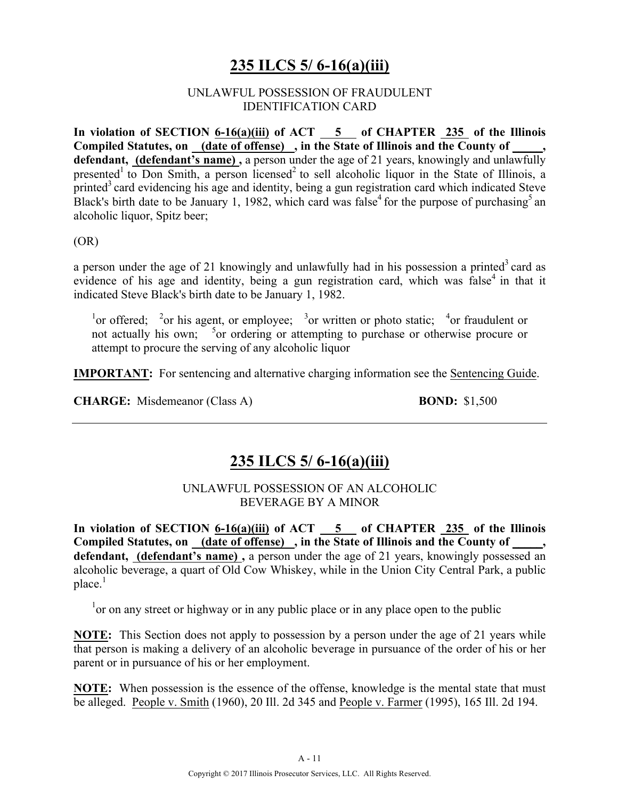# **235 ILCS 5/ 6-16(a)(iii)**

#### UNLAWFUL POSSESSION OF FRAUDULENT IDENTIFICATION CARD

In violation of SECTION  $\frac{6-16(a)(iii)}{25}$  of  $\frac{6-16(a)(iii)}{25}$  of CHAPTER  $\frac{235}{25}$  of the Illinois Compiled Statutes, on <u>(date of offense)</u>, in the State of Illinois and the County of **defendant, (defendant's name) ,** a person under the age of 21 years, knowingly and unlawfully presented<sup>1</sup> to Don Smith, a person licensed<sup>2</sup> to sell alcoholic liquor in the State of Illinois, a printed<sup>3</sup> card evidencing his age and identity, being a gun registration card which indicated Steve Black's birth date to be January 1, 1982, which card was false<sup>4</sup> for the purpose of purchasing<sup>5</sup> an alcoholic liquor, Spitz beer;

(OR)

a person under the age of 21 knowingly and unlawfully had in his possession a printed<sup>3</sup> card as evidence of his age and identity, being a gun registration card, which was false<sup>4</sup> in that it indicated Steve Black's birth date to be January 1, 1982.

<sup>1</sup>or offered; <sup>2</sup>or his agent, or employee; <sup>3</sup>or written or photo static; <sup>4</sup>or fraudulent or not actually his own; <sup>5</sup> or ordering or attempting to purchase or otherwise procure or attempt to procure the serving of any alcoholic liquor

**IMPORTANT:** For sentencing and alternative charging information see the Sentencing Guide.

**CHARGE:** Misdemeanor (Class A) **BOND:** \$1,500

### **235 ILCS 5/ 6-16(a)(iii)**

UNLAWFUL POSSESSION OF AN ALCOHOLIC BEVERAGE BY A MINOR

**In violation of SECTION 6-16(a)(iii) of ACT 5 of CHAPTER 235 of the Illinois**  Compiled Statutes, on (date of offense), in the State of Illinois and the County of **defendant, (defendant's name) ,** a person under the age of 21 years, knowingly possessed an alcoholic beverage, a quart of Old Cow Whiskey, while in the Union City Central Park, a public  $place<sup>1</sup>$ 

 $1$ <sup>1</sup> or on any street or highway or in any public place or in any place open to the public

**NOTE:** This Section does not apply to possession by a person under the age of 21 years while that person is making a delivery of an alcoholic beverage in pursuance of the order of his or her parent or in pursuance of his or her employment.

**NOTE:** When possession is the essence of the offense, knowledge is the mental state that must be alleged. People v. Smith (1960), 20 Ill. 2d 345 and People v. Farmer (1995), 165 Ill. 2d 194.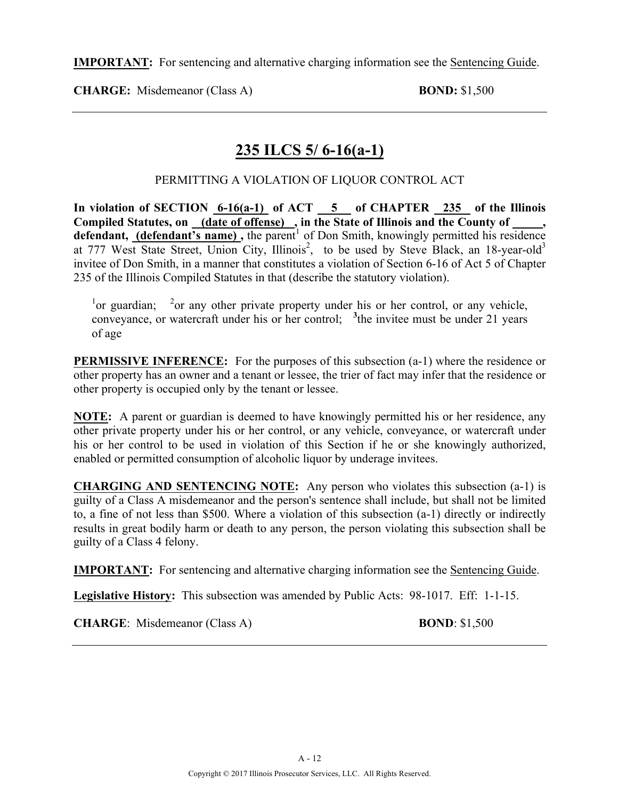**IMPORTANT:** For sentencing and alternative charging information see the Sentencing Guide.

**CHARGE:** Misdemeanor (Class A) **BOND:** \$1,500

# **235 ILCS 5/ 6-16(a-1)**

### PERMITTING A VIOLATION OF LIQUOR CONTROL ACT

In violation of SECTION  $6-16(a-1)$  of ACT  $5$  of CHAPTER 235 of the Illinois **Compiled Statutes, on (date of offense) , in the State of Illinois and the County of \_\_\_\_\_, defendant, (defendant's name)**, the parent<sup>1</sup> of Don Smith, knowingly permitted his residence at 777 West State Street, Union City, Illinois<sup>2</sup>, to be used by Steve Black, an 18-year-old<sup>3</sup> invitee of Don Smith, in a manner that constitutes a violation of Section 6-16 of Act 5 of Chapter 235 of the Illinois Compiled Statutes in that (describe the statutory violation).

<sup>1</sup> or guardian; <sup>2</sup> or any other private property under his or her control, or any vehicle, conveyance, or watercraft under his or her control; **<sup>3</sup>** the invitee must be under 21 years of age

**PERMISSIVE INFERENCE:** For the purposes of this subsection (a-1) where the residence or other property has an owner and a tenant or lessee, the trier of fact may infer that the residence or other property is occupied only by the tenant or lessee.

**NOTE:** A parent or guardian is deemed to have knowingly permitted his or her residence, any other private property under his or her control, or any vehicle, conveyance, or watercraft under his or her control to be used in violation of this Section if he or she knowingly authorized, enabled or permitted consumption of alcoholic liquor by underage invitees.

**CHARGING AND SENTENCING NOTE:** Any person who violates this subsection (a-1) is guilty of a Class A misdemeanor and the person's sentence shall include, but shall not be limited to, a fine of not less than \$500. Where a violation of this subsection (a-1) directly or indirectly results in great bodily harm or death to any person, the person violating this subsection shall be guilty of a Class 4 felony.

**IMPORTANT:** For sentencing and alternative charging information see the Sentencing Guide.

**Legislative History:** This subsection was amended by Public Acts: 98-1017. Eff: 1-1-15.

**CHARGE**: Misdemeanor (Class A) **BOND**: \$1,500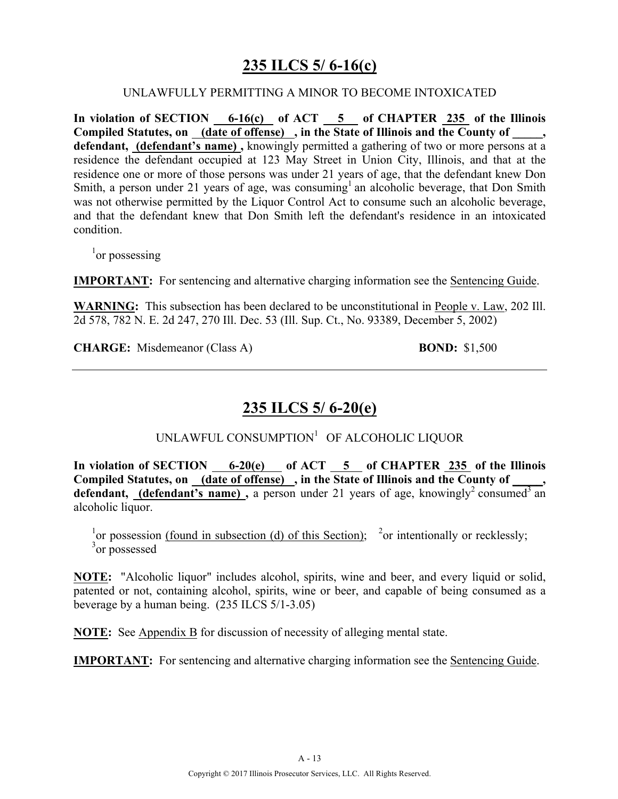# **235 ILCS 5/ 6-16(c)**

#### UNLAWFULLY PERMITTING A MINOR TO BECOME INTOXICATED

**In violation of SECTION 6-16(c) of ACT 5 of CHAPTER 235 of the Illinois**  Compiled Statutes, on (date of offense), in the State of Illinois and the County of \_\_\_\_, **defendant, (defendant's name) ,** knowingly permitted a gathering of two or more persons at a residence the defendant occupied at 123 May Street in Union City, Illinois, and that at the residence one or more of those persons was under 21 years of age, that the defendant knew Don Smith, a person under 21 years of age, was consuming<sup>1</sup> an alcoholic beverage, that Don Smith was not otherwise permitted by the Liquor Control Act to consume such an alcoholic beverage. and that the defendant knew that Don Smith left the defendant's residence in an intoxicated condition.

<sup>1</sup>or possessing

**IMPORTANT:** For sentencing and alternative charging information see the Sentencing Guide.

**WARNING:** This subsection has been declared to be unconstitutional in People v. Law, 202 Ill. 2d 578, 782 N. E. 2d 247, 270 Ill. Dec. 53 (Ill. Sup. Ct., No. 93389, December 5, 2002)

**CHARGE:** Misdemeanor (Class A) **BOND:** \$1,500

### **235 ILCS 5/ 6-20(e)**

UNLAWFUL CONSUMPTION<sup>1</sup> OF ALCOHOLIC LIQUOR

**In violation of SECTION 6-20(e) of ACT 5 of CHAPTER 235 of the Illinois**  Compiled Statutes, on (date of offense), in the State of Illinois and the County of **defendant, (defendant's name),** a person under 21 years of age, knowingly<sup>2</sup> consumed<sup>3</sup> an alcoholic liquor.

<sup>1</sup> or possession (found in subsection (d) of this Section); <sup>2</sup> or intentionally or recklessly; <sup>3</sup> or possessed

**NOTE:** "Alcoholic liquor" includes alcohol, spirits, wine and beer, and every liquid or solid, patented or not, containing alcohol, spirits, wine or beer, and capable of being consumed as a beverage by a human being. (235 ILCS 5/1-3.05)

**NOTE:** See Appendix B for discussion of necessity of alleging mental state.

**IMPORTANT:** For sentencing and alternative charging information see the Sentencing Guide.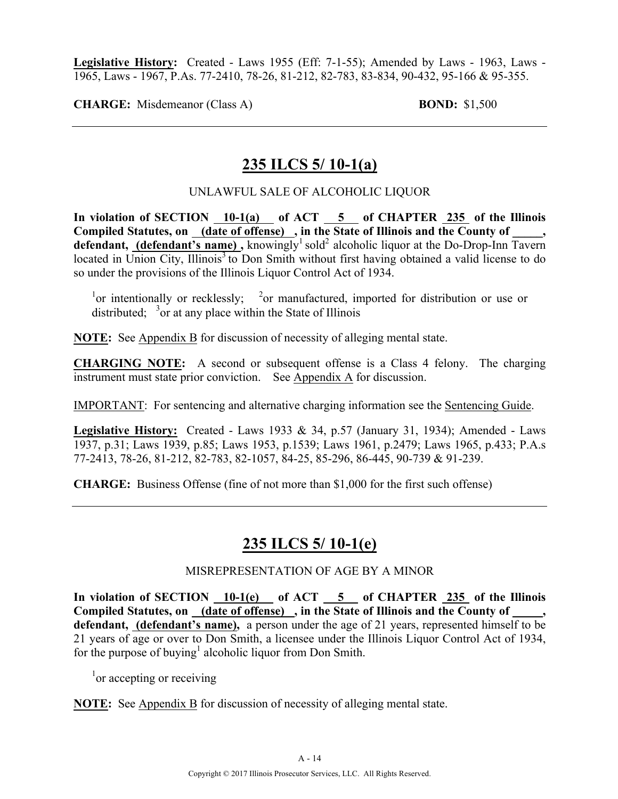**Legislative History:** Created - Laws 1955 (Eff: 7-1-55); Amended by Laws - 1963, Laws - 1965, Laws - 1967, P.As. 77-2410, 78-26, 81-212, 82-783, 83-834, 90-432, 95-166 & 95-355.

**CHARGE:** Misdemeanor (Class A) **BOND:** \$1,500

### **235 ILCS 5/ 10-1(a)**

#### UNLAWFUL SALE OF ALCOHOLIC LIQUOR

In violation of SECTION 10-1(a) of ACT 5 of CHAPTER 235 of the Illinois Compiled Statutes, on \_(date of offense) \_, in the State of Illinois and the County of \_ defendant, (defendant's name), knowingly<sup>1</sup> sold<sup>2</sup> alcoholic liquor at the Do-Drop-Inn Tavern  $\alpha$  located in Union City, Illinois<sup>3</sup> to Don Smith without first having obtained a valid license to do so under the provisions of the Illinois Liquor Control Act of 1934.

<sup>1</sup>or intentionally or recklessly; <sup>2</sup>or manufactured, imported for distribution or use or distributed;  $3$  or at any place within the State of Illinois

**NOTE:** See Appendix B for discussion of necessity of alleging mental state.

**CHARGING NOTE:** A second or subsequent offense is a Class 4 felony. The charging instrument must state prior conviction. See Appendix A for discussion.

IMPORTANT: For sentencing and alternative charging information see the Sentencing Guide.

**Legislative History:** Created - Laws 1933 & 34, p.57 (January 31, 1934); Amended - Laws 1937, p.31; Laws 1939, p.85; Laws 1953, p.1539; Laws 1961, p.2479; Laws 1965, p.433; P.A.s 77-2413, 78-26, 81-212, 82-783, 82-1057, 84-25, 85-296, 86-445, 90-739 & 91-239.

**CHARGE:** Business Offense (fine of not more than \$1,000 for the first such offense)

### **235 ILCS 5/ 10-1(e)**

#### MISREPRESENTATION OF AGE BY A MINOR

**In violation of SECTION 10-1(e) of ACT 5 of CHAPTER 235 of the Illinois Compiled Statutes, on (date of offense) , in the State of Illinois and the County of \_\_\_\_\_, defendant, (defendant's name),** a person under the age of 21 years, represented himself to be 21 years of age or over to Don Smith, a licensee under the Illinois Liquor Control Act of 1934, for the purpose of buying<sup>1</sup> alcoholic liquor from Don Smith.

<sup>1</sup> or accepting or receiving

**NOTE:** See Appendix B for discussion of necessity of alleging mental state.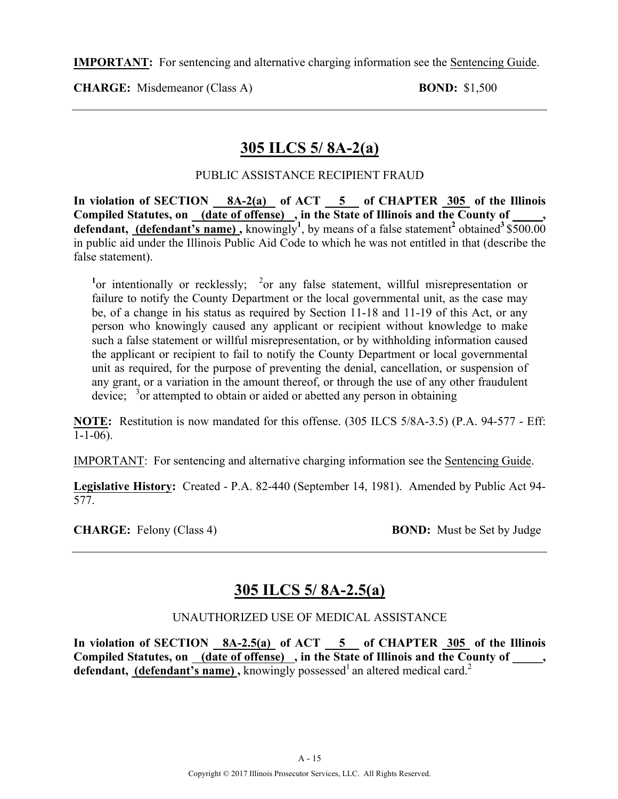**IMPORTANT:** For sentencing and alternative charging information see the Sentencing Guide.

**CHARGE:** Misdemeanor (Class A) **BOND:** \$1,500

### **305 ILCS 5/ 8A-2(a)**

### PUBLIC ASSISTANCE RECIPIENT FRAUD

In violation of SECTION 8A-2(a) of ACT 5 of CHAPTER 305 of the Illinois Compiled Statutes, on (date of offense), in the State of Illinois and the County of **defendant, (defendant's name)**, knowingly<sup>1</sup>, by means of a false statement<sup>2</sup> obtained<sup>3</sup> \$500.00 in public aid under the Illinois Public Aid Code to which he was not entitled in that (describe the false statement).

<sup>1</sup> or intentionally or recklessly; <sup>2</sup> or any false statement, willful misrepresentation or failure to notify the County Department or the local governmental unit, as the case may be, of a change in his status as required by Section 11-18 and 11-19 of this Act, or any person who knowingly caused any applicant or recipient without knowledge to make such a false statement or willful misrepresentation, or by withholding information caused the applicant or recipient to fail to notify the County Department or local governmental unit as required, for the purpose of preventing the denial, cancellation, or suspension of any grant, or a variation in the amount thereof, or through the use of any other fraudulent device;  $3$  or attempted to obtain or aided or abetted any person in obtaining

**NOTE:** Restitution is now mandated for this offense. (305 ILCS 5/8A-3.5) (P.A. 94-577 - Eff:  $1 - 1 - 06$ ).

IMPORTANT: For sentencing and alternative charging information see the Sentencing Guide.

**Legislative History:** Created - P.A. 82-440 (September 14, 1981). Amended by Public Act 94- 577.

**CHARGE:** Felony (Class 4) **BOND:** Must be Set by Judge

# **305 ILCS 5/ 8A-2.5(a)**

### UNAUTHORIZED USE OF MEDICAL ASSISTANCE

In violation of SECTION 8A-2.5(a) of ACT 5 of CHAPTER 305 of the Illinois Compiled Statutes, on <u>(date of offense)</u>, in the State of Illinois and the County of \_\_\_\_, **defendant, (defendant's name),** knowingly possessed<sup>1</sup> an altered medical card.<sup>2</sup>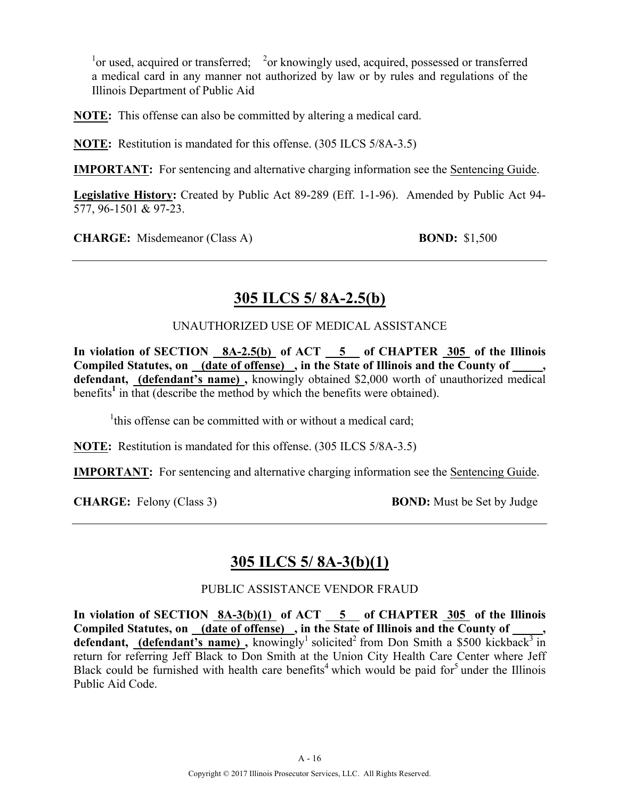$\frac{1}{2}$  or used, acquired or transferred;  $\frac{2}{2}$  or knowingly used, acquired, possessed or transferred a medical card in any manner not authorized by law or by rules and regulations of the Illinois Department of Public Aid

**NOTE:** This offense can also be committed by altering a medical card.

**NOTE:** Restitution is mandated for this offense. (305 ILCS 5/8A-3.5)

**IMPORTANT:** For sentencing and alternative charging information see the Sentencing Guide.

**Legislative History:** Created by Public Act 89-289 (Eff. 1-1-96). Amended by Public Act 94- 577, 96-1501 & 97-23.

**CHARGE:** Misdemeanor (Class A) **BOND:** \$1,500

# **305 ILCS 5/ 8A-2.5(b)**

UNAUTHORIZED USE OF MEDICAL ASSISTANCE

In violation of SECTION 8A-2.5(b) of ACT 5 of CHAPTER 305 of the Illinois Compiled Statutes, on (date of offense), in the State of Illinois and the County of \_\_\_\_, **defendant, (defendant's name) ,** knowingly obtained \$2,000 worth of unauthorized medical benefits<sup>1</sup> in that (describe the method by which the benefits were obtained).

<sup>1</sup>this offense can be committed with or without a medical card;

**NOTE:** Restitution is mandated for this offense. (305 ILCS 5/8A-3.5)

**IMPORTANT:** For sentencing and alternative charging information see the Sentencing Guide.

**CHARGE:** Felony (Class 3) **BOND:** Must be Set by Judge

### **305 ILCS 5/ 8A-3(b)(1)**

PUBLIC ASSISTANCE VENDOR FRAUD

In violation of SECTION 8A-3(b)(1) of ACT 5 of CHAPTER 305 of the Illinois Compiled Statutes, on (date of offense), in the State of Illinois and the County of **defendant, (defendant's name),** knowingly<sup>1</sup> solicited<sup>2</sup> from Don Smith a \$500 kickback<sup>3</sup> in return for referring Jeff Black to Don Smith at the Union City Health Care Center where Jeff Black could be furnished with health care benefits<sup>4</sup> which would be paid for<sup>5</sup> under the Illinois Public Aid Code.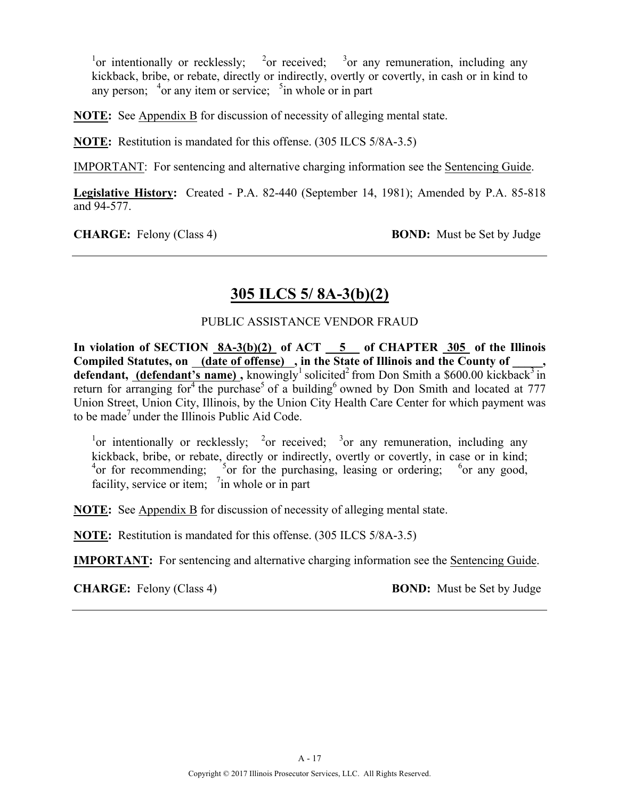<sup>1</sup> or intentionally or recklessly; <sup>2</sup> or received; <sup>3</sup> or any remuneration, including any kickback, bribe, or rebate, directly or indirectly, overtly or covertly, in cash or in kind to any person;  $4$  or any item or service;  $5$  in whole or in part

**NOTE:** See Appendix B for discussion of necessity of alleging mental state.

**NOTE:** Restitution is mandated for this offense. (305 ILCS 5/8A-3.5)

IMPORTANT: For sentencing and alternative charging information see the Sentencing Guide.

**Legislative History:** Created - P.A. 82-440 (September 14, 1981); Amended by P.A. 85-818 and 94-577.

**CHARGE:** Felony (Class 4) **BOND:** Must be Set by Judge

### **305 ILCS 5/ 8A-3(b)(2)**

#### PUBLIC ASSISTANCE VENDOR FRAUD

**In violation of SECTION 8A-3(b)(2) of ACT 5 of CHAPTER 305 of the Illinois**  Compiled Statutes, on <u>(date of offense)</u>, in the State of Illinois and the County of \_\_\_\_\_, **defendant, (defendant's name)**, knowingly<sup>1</sup> solicited<sup>2</sup> from Don Smith a \$600.00 kickback<sup>3</sup> in return for arranging for  $4$  the purchase<sup>5</sup> of a building<sup>6</sup> owned by Don Smith and located at 777 Union Street, Union City, Illinois, by the Union City Health Care Center for which payment was to be made<sup>7</sup> under the Illinois Public Aid Code.

<sup>1</sup>or intentionally or recklessly; <sup>2</sup>or received; <sup>3</sup>or any remuneration, including any kickback, bribe, or rebate, directly or indirectly, overtly or covertly, in case or in kind;  $^{4}$ or for recommending;  $^{5}$ or for the purchasing, leasing or ordering;  $^{6}$ or any good, facility, service or item;  $\frac{7}{1}$  in whole or in part

**NOTE:** See Appendix B for discussion of necessity of alleging mental state.

**NOTE:** Restitution is mandated for this offense. (305 ILCS 5/8A-3.5)

**IMPORTANT:** For sentencing and alternative charging information see the Sentencing Guide.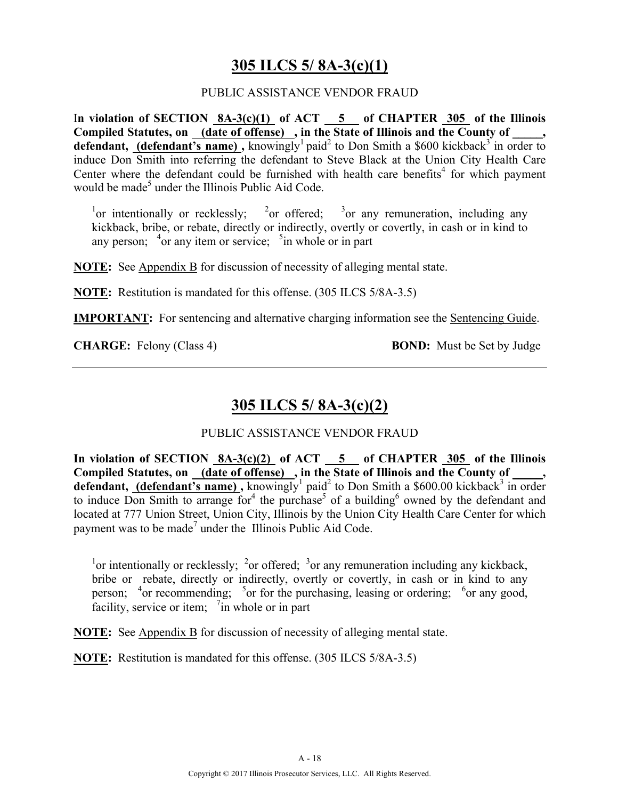### **305 ILCS 5/ 8A-3(c)(1)**

#### PUBLIC ASSISTANCE VENDOR FRAUD

I**n violation of SECTION 8A-3(c)(1) of ACT 5 of CHAPTER 305 of the Illinois**  Compiled Statutes, on \_(date of offense) \_, in the State of Illinois and the County of \_ **defendant, (defendant's name),** knowingly<sup>1</sup> paid<sup>2</sup> to Don Smith a \$600 kickback<sup>3</sup> in order to induce Don Smith into referring the defendant to Steve Black at the Union City Health Care Center where the defendant could be furnished with health care benefits<sup>4</sup> for which payment would be made<sup>5</sup> under the Illinois Public Aid Code.

<sup>1</sup> or intentionally or recklessly; <sup>2</sup> or offered; <sup>3</sup> or any remuneration, including any kickback, bribe, or rebate, directly or indirectly, overtly or covertly, in cash or in kind to any person;  $4$ or any item or service;  $5$ in whole or in part

**NOTE:** See Appendix B for discussion of necessity of alleging mental state.

**NOTE:** Restitution is mandated for this offense. (305 ILCS 5/8A-3.5)

**IMPORTANT:** For sentencing and alternative charging information see the Sentencing Guide.

**CHARGE:** Felony (Class 4) **BOND:** Must be Set by Judge

# **305 ILCS 5/ 8A-3(c)(2)**

### PUBLIC ASSISTANCE VENDOR FRAUD

**In violation of SECTION 8A-3(c)(2) of ACT 5 of CHAPTER 305 of the Illinois Compiled Statutes, on (date of offense) , in the State of Illinois and the County of \_\_\_\_\_, defendant, (defendant's name)**, knowingly<sup>1</sup> paid<sup>2</sup> to Don Smith a \$600.00 kickback<sup>3</sup> in order to induce Don Smith to arrange for<sup>4</sup> the purchase<sup>5</sup> of a building<sup>6</sup> owned by the defendant and located at 777 Union Street, Union City, Illinois by the Union City Health Care Center for which payment was to be made<sup>7</sup> under the Illinois Public Aid Code.

<sup>1</sup> or intentionally or recklessly; <sup>2</sup> or offered; <sup>3</sup> or any remuneration including any kickback, bribe or rebate, directly or indirectly, overtly or covertly, in cash or in kind to any person;  $4$  or recommending;  $5$  or for the purchasing, leasing or ordering;  $5$  or any good, facility, service or item; <sup>7</sup> in whole or in part

**NOTE:** See Appendix B for discussion of necessity of alleging mental state.

**NOTE:** Restitution is mandated for this offense. (305 ILCS 5/8A-3.5)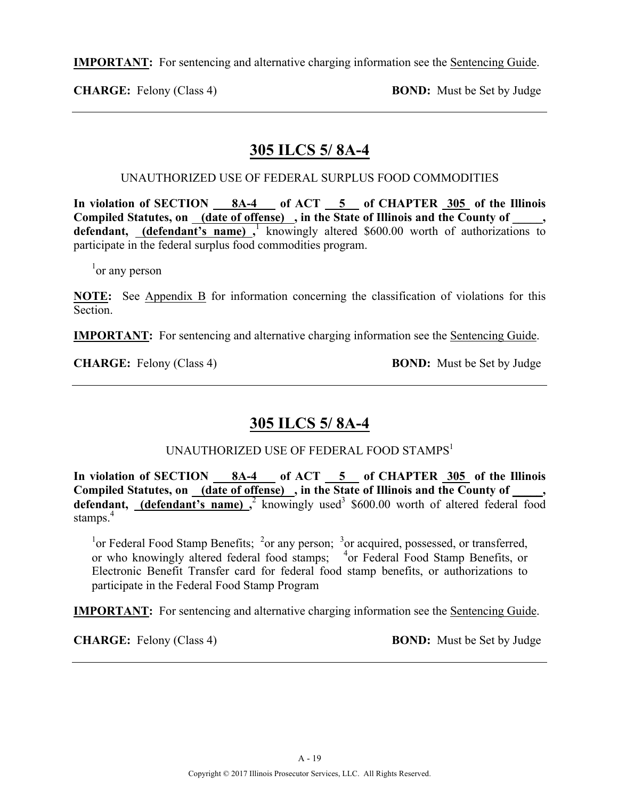**IMPORTANT:** For sentencing and alternative charging information see the Sentencing Guide.

**CHARGE:** Felony (Class 4) **BOND:** Must be Set by Judge

# **305 ILCS 5/ 8A-4**

### UNAUTHORIZED USE OF FEDERAL SURPLUS FOOD COMMODITIES

**In violation of SECTION 8A-4 of ACT 5 of CHAPTER 305 of the Illinois**  Compiled Statutes, on (date of offense), in the State of Illinois and the County of, defendant, (defendant's name), knowingly altered \$600.00 worth of authorizations to participate in the federal surplus food commodities program.

<sup>1</sup> or any person

**NOTE:** See Appendix B for information concerning the classification of violations for this Section.

**IMPORTANT:** For sentencing and alternative charging information see the Sentencing Guide.

**CHARGE:** Felony (Class 4) **BOND:** Must be Set by Judge

# **305 ILCS 5/ 8A-4**

UNAUTHORIZED USE OF FEDERAL FOOD STAMPS<sup>1</sup>

In violation of SECTION 8A-4 of ACT 5 of CHAPTER 305 of the Illinois Compiled Statutes, on (date of offense), in the State of Illinois and the County of, defendant, (defendant's name),<sup>2</sup> knowingly used<sup>3</sup> \$600.00 worth of altered federal food stamps.<sup>4</sup>

<sup>1</sup> or Federal Food Stamp Benefits; <sup>2</sup> or any person; <sup>3</sup> or acquired, possessed, or transferred, or who knowingly altered federal food stamps; <sup>4</sup>or Federal Food Stamp Benefits, or Electronic Benefit Transfer card for federal food stamp benefits, or authorizations to participate in the Federal Food Stamp Program

**IMPORTANT:** For sentencing and alternative charging information see the Sentencing Guide.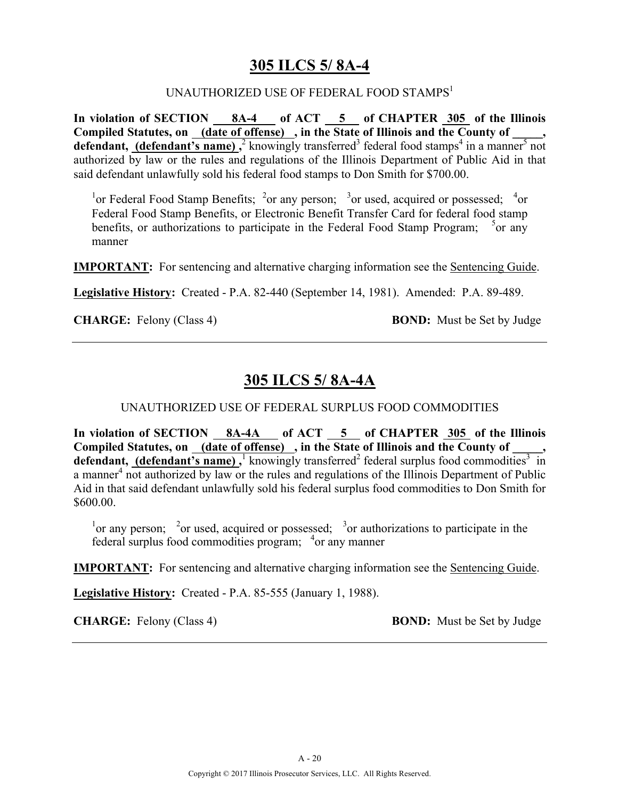### **305 ILCS 5/ 8A-4**

#### UNAUTHORIZED USE OF FEDERAL FOOD STAMPS<sup>1</sup>

**In violation of SECTION 8A-4 of ACT 5 of CHAPTER 305 of the Illinois**  Compiled Statutes, on <u>(date of offense)</u>, in the State of Illinois and the County of **defendant, (defendant's name)**,<sup>2</sup> knowingly transferred<sup>3</sup> federal food stamps<sup>4</sup> in a manner<sup>5</sup> not authorized by law or the rules and regulations of the Illinois Department of Public Aid in that said defendant unlawfully sold his federal food stamps to Don Smith for \$700.00.

<sup>1</sup> or Federal Food Stamp Benefits; <sup>2</sup> or any person; <sup>3</sup> or used, acquired or possessed; <sup>4</sup> or Federal Food Stamp Benefits, or Electronic Benefit Transfer Card for federal food stamp benefits, or authorizations to participate in the Federal Food Stamp Program;  $5$ or any manner

**IMPORTANT:** For sentencing and alternative charging information see the Sentencing Guide.

**Legislative History:** Created - P.A. 82-440 (September 14, 1981). Amended: P.A. 89-489.

**CHARGE:** Felony (Class 4) **BOND:** Must be Set by Judge

### **305 ILCS 5/ 8A-4A**

#### UNAUTHORIZED USE OF FEDERAL SURPLUS FOOD COMMODITIES

**In violation of SECTION 8A-4A of ACT 5 of CHAPTER 305 of the Illinois**  Compiled Statutes, on (date of offense), in the State of Illinois and the County of defendant,  $(\text{defendant's name})$ , knowingly transferred<sup>2</sup> federal surplus food commodities<sup>3</sup> in a manner<sup>4</sup> not authorized by law or the rules and regulations of the Illinois Department of Public Aid in that said defendant unlawfully sold his federal surplus food commodities to Don Smith for \$600.00.

<sup>1</sup> or any person; <sup>2</sup> or used, acquired or possessed; <sup>3</sup> or authorizations to participate in the federal surplus food commodities program; <sup>4</sup>or any manner

**IMPORTANT:** For sentencing and alternative charging information see the Sentencing Guide.

**Legislative History:** Created - P.A. 85-555 (January 1, 1988).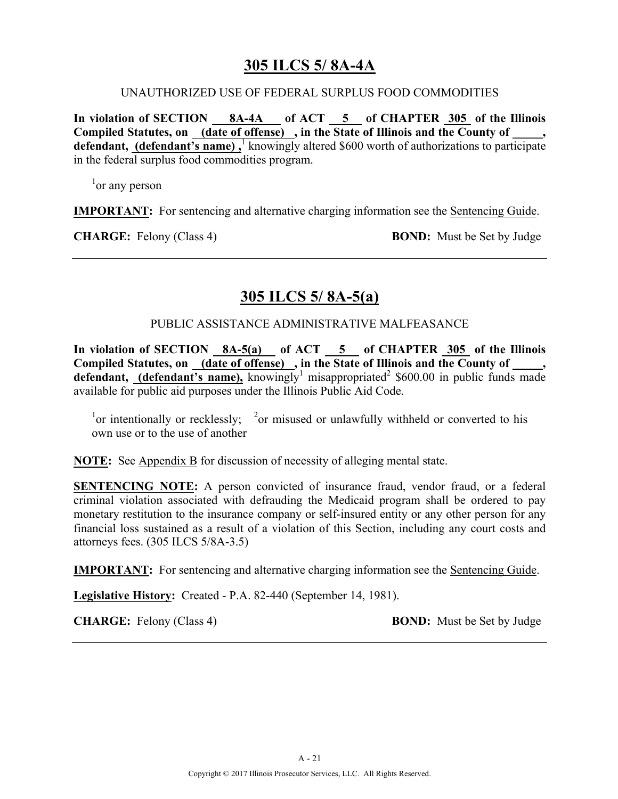### **305 ILCS 5/ 8A-4A**

#### UNAUTHORIZED USE OF FEDERAL SURPLUS FOOD COMMODITIES

**In violation of SECTION 8A-4A of ACT 5 of CHAPTER 305 of the Illinois**  Compiled Statutes, on <u>(date of offense)</u>, in the State of Illinois and the County of \_\_\_\_, defendant, **(defendant's name)**, knowingly altered \$600 worth of authorizations to participate in the federal surplus food commodities program.

<sup>1</sup> or any person

**IMPORTANT:** For sentencing and alternative charging information see the Sentencing Guide.

**CHARGE:** Felony (Class 4) **BOND:** Must be Set by Judge

### **305 ILCS 5/ 8A-5(a)**

#### PUBLIC ASSISTANCE ADMINISTRATIVE MALFEASANCE

**In violation of SECTION 8A-5(a) of ACT 5 of CHAPTER 305 of the Illinois**  Compiled Statutes, on (date of offense), in the State of Illinois and the County of, **defendant, (defendant's name),** knowingly<sup>1</sup> misappropriated<sup>2</sup> \$600.00 in public funds made available for public aid purposes under the Illinois Public Aid Code.

<sup>1</sup> or intentionally or recklessly; <sup>2</sup> or misused or unlawfully withheld or converted to his own use or to the use of another

**NOTE:** See Appendix B for discussion of necessity of alleging mental state.

**SENTENCING NOTE:** A person convicted of insurance fraud, vendor fraud, or a federal criminal violation associated with defrauding the Medicaid program shall be ordered to pay monetary restitution to the insurance company or self-insured entity or any other person for any financial loss sustained as a result of a violation of this Section, including any court costs and attorneys fees. (305 ILCS 5/8A-3.5)

**IMPORTANT:** For sentencing and alternative charging information see the Sentencing Guide.

**Legislative History:** Created - P.A. 82-440 (September 14, 1981).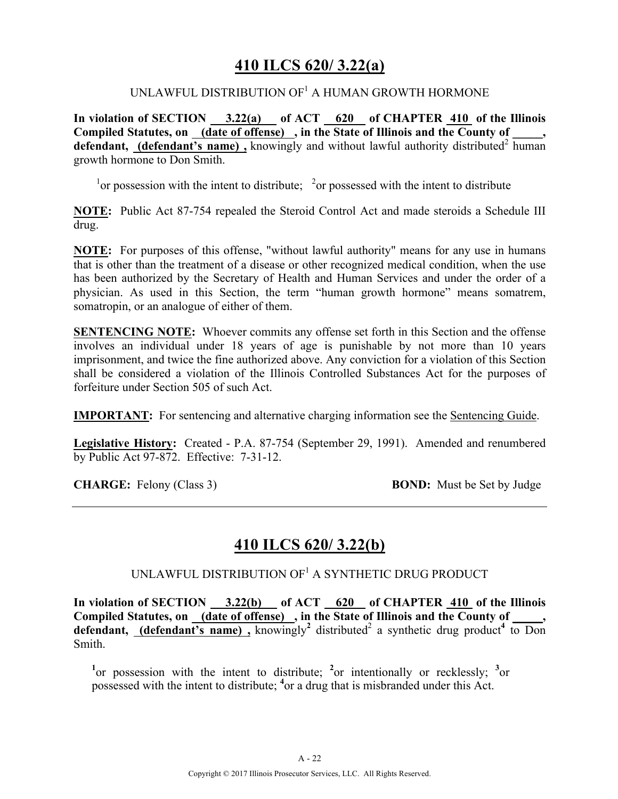### **410 ILCS 620/ 3.22(a)**

### UNLAWFUL DISTRIBUTION OF<sup>1</sup> A HUMAN GROWTH HORMONE

**In violation of SECTION 3.22(a) of ACT 620 of CHAPTER 410 of the Illinois Compiled Statutes, on (date of offense) , in the State of Illinois and the County of \_\_\_\_\_, defendant, (defendant's name),** knowingly and without lawful authority distributed<sup>2</sup> human growth hormone to Don Smith.

 $\frac{1}{1}$  or possession with the intent to distribute;  $\frac{2}{1}$  or possessed with the intent to distribute

**NOTE:** Public Act 87-754 repealed the Steroid Control Act and made steroids a Schedule III drug.

**NOTE:** For purposes of this offense, "without lawful authority" means for any use in humans that is other than the treatment of a disease or other recognized medical condition, when the use has been authorized by the Secretary of Health and Human Services and under the order of a physician. As used in this Section, the term "human growth hormone" means somatrem, somatropin, or an analogue of either of them.

**SENTENCING NOTE:** Whoever commits any offense set forth in this Section and the offense involves an individual under 18 years of age is punishable by not more than 10 years imprisonment, and twice the fine authorized above. Any conviction for a violation of this Section shall be considered a violation of the Illinois Controlled Substances Act for the purposes of forfeiture under Section 505 of such Act.

**IMPORTANT:** For sentencing and alternative charging information see the Sentencing Guide.

**Legislative History:** Created - P.A. 87-754 (September 29, 1991). Amended and renumbered by Public Act 97-872. Effective: 7-31-12.

**CHARGE:** Felony (Class 3) **BOND:** Must be Set by Judge

### **410 ILCS 620/ 3.22(b)**

UNLAWFUL DISTRIBUTION  $OF<sup>1</sup>$  a synthetic drug product

In violation of SECTION 3.22(b) of ACT 620 of CHAPTER 410 of the Illinois Compiled Statutes, on <u>(date of offense</u>), in the State of Illinois and the County of **defendant,** (defendant's name), knowingly<sup>2</sup> distributed<sup>2</sup> a synthetic drug product<sup>4</sup> to Don Smith.

<sup>1</sup><sup>or</sup> possession with the intent to distribute; <sup>2</sup><sub>or</sub> intentionally or recklessly; <sup>3</sup><sub>or</sub> possessed with the intent to distribute; **<sup>4</sup>** or a drug that is misbranded under this Act.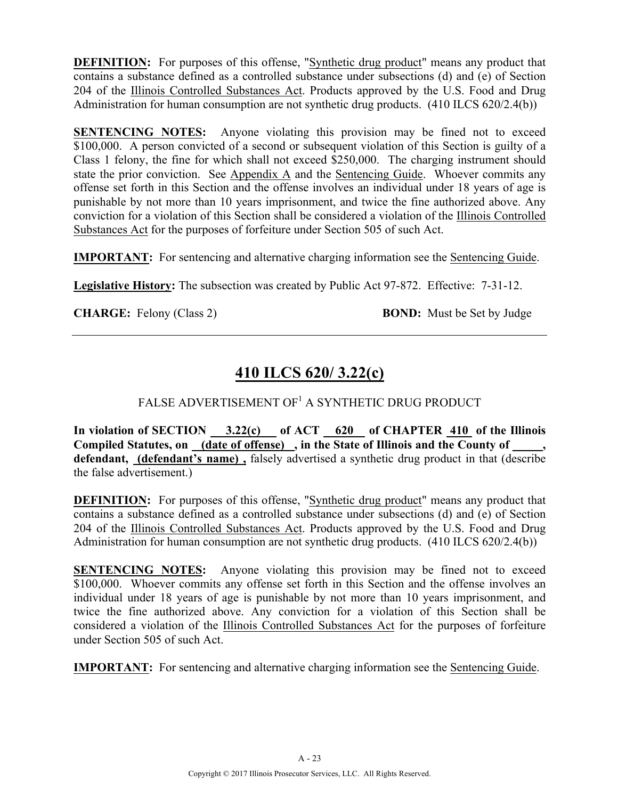**DEFINITION:** For purposes of this offense, "Synthetic drug product" means any product that contains a substance defined as a controlled substance under subsections (d) and (e) of Section 204 of the Illinois Controlled Substances Act. Products approved by the U.S. Food and Drug Administration for human consumption are not synthetic drug products. (410 ILCS 620/2.4(b))

**SENTENCING NOTES:** Anyone violating this provision may be fined not to exceed \$100,000. A person convicted of a second or subsequent violation of this Section is guilty of a Class 1 felony, the fine for which shall not exceed \$250,000. The charging instrument should state the prior conviction. See Appendix A and the Sentencing Guide. Whoever commits any offense set forth in this Section and the offense involves an individual under 18 years of age is punishable by not more than 10 years imprisonment, and twice the fine authorized above. Any conviction for a violation of this Section shall be considered a violation of the Illinois Controlled Substances Act for the purposes of forfeiture under Section 505 of such Act.

**IMPORTANT:** For sentencing and alternative charging information see the Sentencing Guide.

**Legislative History:** The subsection was created by Public Act 97-872. Effective: 7-31-12.

**CHARGE:** Felony (Class 2) **BOND:** Must be Set by Judge

# **410 ILCS 620/ 3.22(c)**

### FALSE ADVERTISEMENT OF<sup>1</sup> A SYNTHETIC DRUG PRODUCT

In violation of SECTION 3.22(c) of ACT 620 of CHAPTER 410 of the Illinois **Compiled Statutes, on (date of offense) , in the State of Illinois and the County of \_\_\_\_\_, defendant, (defendant's name) ,** falsely advertised a synthetic drug product in that (describe the false advertisement.)

**DEFINITION:** For purposes of this offense, "Synthetic drug product" means any product that contains a substance defined as a controlled substance under subsections (d) and (e) of Section 204 of the Illinois Controlled Substances Act. Products approved by the U.S. Food and Drug Administration for human consumption are not synthetic drug products. (410 ILCS 620/2.4(b))

**SENTENCING NOTES:** Anyone violating this provision may be fined not to exceed \$100,000. Whoever commits any offense set forth in this Section and the offense involves an individual under 18 years of age is punishable by not more than 10 years imprisonment, and twice the fine authorized above. Any conviction for a violation of this Section shall be considered a violation of the Illinois Controlled Substances Act for the purposes of forfeiture under Section 505 of such Act.

**IMPORTANT:** For sentencing and alternative charging information see the Sentencing Guide.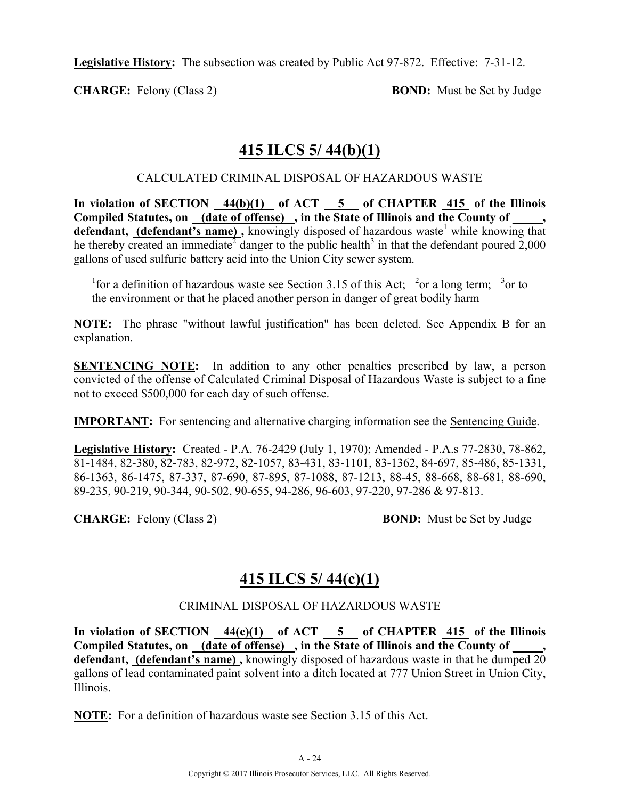**Legislative History:** The subsection was created by Public Act 97-872. Effective: 7-31-12.

**CHARGE:** Felony (Class 2) **BOND:** Must be Set by Judge

# **415 ILCS 5/ 44(b)(1)**

### CALCULATED CRIMINAL DISPOSAL OF HAZARDOUS WASTE

**In violation of SECTION 44(b)(1) of ACT 5 of CHAPTER 415 of the Illinois**  Compiled Statutes, on (date of offense), in the State of Illinois and the County of, defendant, (defendant's name), knowingly disposed of hazardous waste<sup>1</sup> while knowing that he thereby created an immediate<sup>2</sup> danger to the public health<sup>3</sup> in that the defendant poured  $2,000$ gallons of used sulfuric battery acid into the Union City sewer system.

<sup>1</sup> for a definition of hazardous waste see Section 3.15 of this Act; <sup>2</sup> or a long term; <sup>3</sup> or to the environment or that he placed another person in danger of great bodily harm

**NOTE:** The phrase "without lawful justification" has been deleted. See Appendix B for an explanation.

**SENTENCING NOTE:** In addition to any other penalties prescribed by law, a person convicted of the offense of Calculated Criminal Disposal of Hazardous Waste is subject to a fine not to exceed \$500,000 for each day of such offense.

**IMPORTANT:** For sentencing and alternative charging information see the Sentencing Guide.

**Legislative History:** Created - P.A. 76-2429 (July 1, 1970); Amended - P.A.s 77-2830, 78-862, 81-1484, 82-380, 82-783, 82-972, 82-1057, 83-431, 83-1101, 83-1362, 84-697, 85-486, 85-1331, 86-1363, 86-1475, 87-337, 87-690, 87-895, 87-1088, 87-1213, 88-45, 88-668, 88-681, 88-690, 89-235, 90-219, 90-344, 90-502, 90-655, 94-286, 96-603, 97-220, 97-286 & 97-813.

**CHARGE:** Felony (Class 2) **BOND:** Must be Set by Judge

# **415 ILCS 5/ 44(c)(1)**

### CRIMINAL DISPOSAL OF HAZARDOUS WASTE

In violation of SECTION  $\frac{44(c)(1)}{c}$  of ACT 5 of CHAPTER 415 of the Illinois **Compiled Statutes, on (date of offense) , in the State of Illinois and the County of \_\_\_\_\_, defendant, (defendant's name) ,** knowingly disposed of hazardous waste in that he dumped 20 gallons of lead contaminated paint solvent into a ditch located at 777 Union Street in Union City, Illinois.

**NOTE:** For a definition of hazardous waste see Section 3.15 of this Act.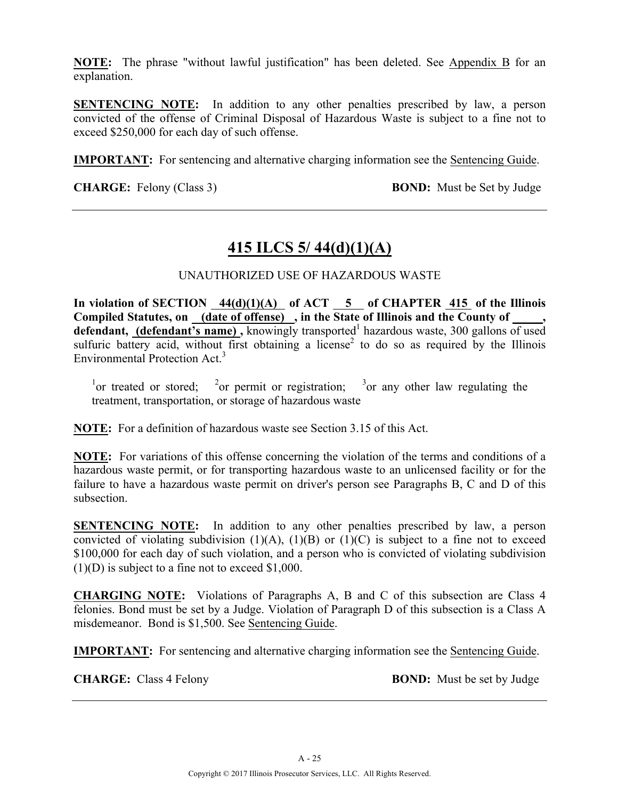**NOTE:** The phrase "without lawful justification" has been deleted. See Appendix B for an explanation.

**SENTENCING NOTE:** In addition to any other penalties prescribed by law, a person convicted of the offense of Criminal Disposal of Hazardous Waste is subject to a fine not to exceed \$250,000 for each day of such offense.

**IMPORTANT:** For sentencing and alternative charging information see the Sentencing Guide.

**CHARGE:** Felony (Class 3) **BOND:** Must be Set by Judge

# **415 ILCS 5/ 44(d)(1)(A)**

### UNAUTHORIZED USE OF HAZARDOUS WASTE

In violation of SECTION  $44(d)(1)(A)$  of ACT  $\overline{5}$  of CHAPTER  $415$  of the Illinois Compiled Statutes, on (date of offense), in the State of Illinois and the County of defendant, (defendant's name), knowingly transported<sup>1</sup> hazardous waste, 300 gallons of used sulfuric battery acid, without first obtaining a license<sup>2</sup> to do so as required by the Illinois Environmental Protection Act.<sup>3</sup>

<sup>1</sup>or treated or stored; <sup>2</sup>or permit or registration; <sup>3</sup>or any other law regulating the treatment, transportation, or storage of hazardous waste

**NOTE:** For a definition of hazardous waste see Section 3.15 of this Act.

**NOTE:** For variations of this offense concerning the violation of the terms and conditions of a hazardous waste permit, or for transporting hazardous waste to an unlicensed facility or for the failure to have a hazardous waste permit on driver's person see Paragraphs B, C and D of this subsection.

**SENTENCING NOTE:** In addition to any other penalties prescribed by law, a person convicted of violating subdivision  $(1)(A)$ ,  $(1)(B)$  or  $(1)(C)$  is subject to a fine not to exceed \$100,000 for each day of such violation, and a person who is convicted of violating subdivision  $(1)(D)$  is subject to a fine not to exceed \$1,000.

**CHARGING NOTE:** Violations of Paragraphs A, B and C of this subsection are Class 4 felonies. Bond must be set by a Judge. Violation of Paragraph D of this subsection is a Class A misdemeanor. Bond is \$1,500. See Sentencing Guide.

**IMPORTANT:** For sentencing and alternative charging information see the Sentencing Guide.

**CHARGE:** Class 4 Felony **BOND:** Must be set by Judge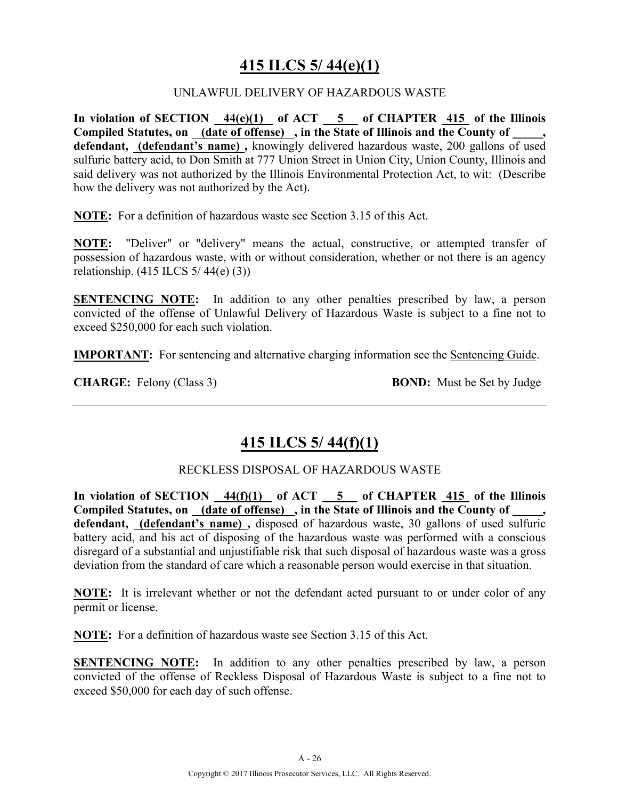# **415 ILCS 5/ 44(e)(1)**

### UNLAWFUL DELIVERY OF HAZARDOUS WASTE

**In violation of SECTION 44(e)(1) of ACT 5 of CHAPTER 415 of the Illinois Compiled Statutes, on (date of offense) , in the State of Illinois and the County of \_\_\_\_\_, defendant, (defendant's name) ,** knowingly delivered hazardous waste, 200 gallons of used sulfuric battery acid, to Don Smith at 777 Union Street in Union City, Union County, Illinois and said delivery was not authorized by the Illinois Environmental Protection Act, to wit: (Describe how the delivery was not authorized by the Act).

**NOTE:** For a definition of hazardous waste see Section 3.15 of this Act.

**NOTE:** "Deliver" or "delivery" means the actual, constructive, or attempted transfer of possession of hazardous waste, with or without consideration, whether or not there is an agency relationship. (415 ILCS 5/ 44(e) (3))

**SENTENCING NOTE:** In addition to any other penalties prescribed by law, a person convicted of the offense of Unlawful Delivery of Hazardous Waste is subject to a fine not to exceed \$250,000 for each such violation.

**IMPORTANT:** For sentencing and alternative charging information see the Sentencing Guide.

**CHARGE:** Felony (Class 3) **BOND:** Must be Set by Judge

### **415 ILCS 5/ 44(f)(1)**

### RECKLESS DISPOSAL OF HAZARDOUS WASTE

**In violation of SECTION 44(f)(1) of ACT 5 of CHAPTER 415 of the Illinois Compiled Statutes, on (date of offense) , in the State of Illinois and the County of \_\_\_\_\_, defendant, (defendant's name) ,** disposed of hazardous waste, 30 gallons of used sulfuric battery acid, and his act of disposing of the hazardous waste was performed with a conscious disregard of a substantial and unjustifiable risk that such disposal of hazardous waste was a gross deviation from the standard of care which a reasonable person would exercise in that situation.

**NOTE:** It is irrelevant whether or not the defendant acted pursuant to or under color of any permit or license.

**NOTE:** For a definition of hazardous waste see Section 3.15 of this Act.

**SENTENCING NOTE:** In addition to any other penalties prescribed by law, a person convicted of the offense of Reckless Disposal of Hazardous Waste is subject to a fine not to exceed \$50,000 for each day of such offense.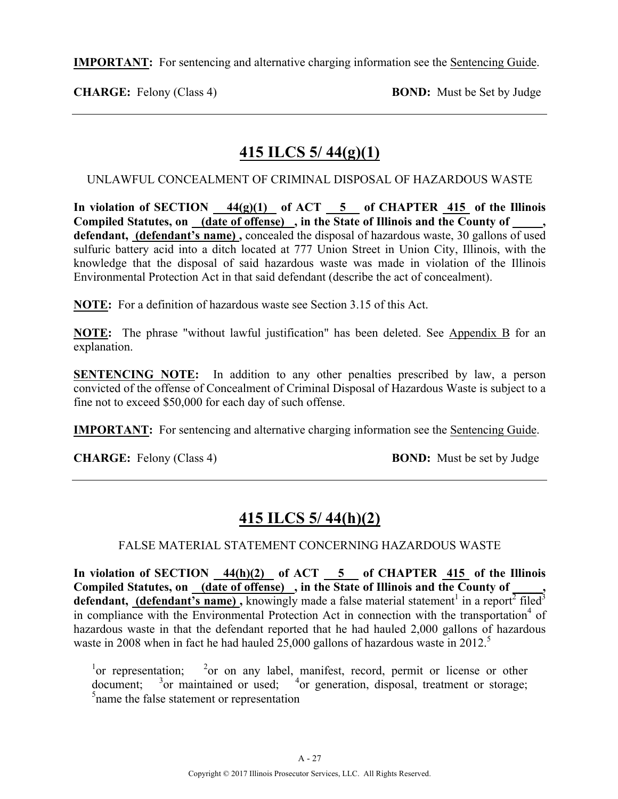**IMPORTANT:** For sentencing and alternative charging information see the Sentencing Guide.

**CHARGE:** Felony (Class 4) **BOND:** Must be Set by Judge

# **415 ILCS 5/ 44(g)(1)**

UNLAWFUL CONCEALMENT OF CRIMINAL DISPOSAL OF HAZARDOUS WASTE

In violation of SECTION  $\frac{44(g)(1)}{g}$  of ACT  $\frac{5}{g}$  of CHAPTER  $\frac{415}{g}$  of the Illinois **Compiled Statutes, on (date of offense) , in the State of Illinois and the County of \_\_\_\_\_, defendant, (defendant's name) ,** concealed the disposal of hazardous waste, 30 gallons of used sulfuric battery acid into a ditch located at 777 Union Street in Union City, Illinois, with the knowledge that the disposal of said hazardous waste was made in violation of the Illinois Environmental Protection Act in that said defendant (describe the act of concealment).

**NOTE:** For a definition of hazardous waste see Section 3.15 of this Act.

**NOTE:** The phrase "without lawful justification" has been deleted. See Appendix B for an explanation.

**SENTENCING NOTE:** In addition to any other penalties prescribed by law, a person convicted of the offense of Concealment of Criminal Disposal of Hazardous Waste is subject to a fine not to exceed \$50,000 for each day of such offense.

**IMPORTANT:** For sentencing and alternative charging information see the Sentencing Guide.

**CHARGE:** Felony (Class 4) **BOND:** Must be set by Judge

# **415 ILCS 5/ 44(h)(2)**

### FALSE MATERIAL STATEMENT CONCERNING HAZARDOUS WASTE

In violation of SECTION  $\frac{44(h)(2)}{2}$  of ACT  $\frac{5}{2}$  of CHAPTER  $\frac{415}{2}$  of the Illinois **Compiled Statutes, on (date of offense) , in the State of Illinois and the County of \_\_\_\_\_, defendant, (defendant's name)**, knowingly made a false material statement<sup>1</sup> in a report<sup>2</sup> filed<sup>3</sup> in compliance with the Environmental Protection Act in connection with the transportation<sup>4</sup> of hazardous waste in that the defendant reported that he had hauled 2,000 gallons of hazardous waste in 2008 when in fact he had hauled 25,000 gallons of hazardous waste in 2012.<sup>5</sup>

 $\frac{1}{2}$  or representation;  $\frac{2}{2}$ <sup>2</sup> or on any label, manifest, record, permit or license or other  $d$ ocument;  $\frac{3}{2}$ or maintained or used;  $\frac{4}{4}$ or generation, disposal, treatment or storage; <sup>5</sup> name the false statement or representation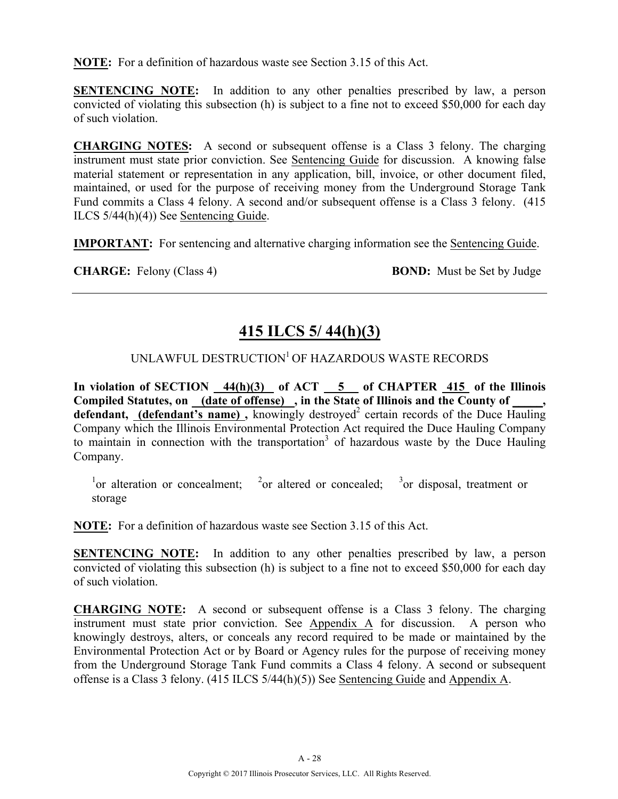**NOTE:** For a definition of hazardous waste see Section 3.15 of this Act.

**SENTENCING NOTE:** In addition to any other penalties prescribed by law, a person convicted of violating this subsection (h) is subject to a fine not to exceed \$50,000 for each day of such violation.

**CHARGING NOTES:** A second or subsequent offense is a Class 3 felony. The charging instrument must state prior conviction. See Sentencing Guide for discussion. A knowing false material statement or representation in any application, bill, invoice, or other document filed, maintained, or used for the purpose of receiving money from the Underground Storage Tank Fund commits a Class 4 felony. A second and/or subsequent offense is a Class 3 felony. (415 ILCS 5/44(h)(4)) See Sentencing Guide.

**IMPORTANT:** For sentencing and alternative charging information see the Sentencing Guide.

**CHARGE:** Felony (Class 4) **BOND:** Must be Set by Judge

# **415 ILCS 5/ 44(h)(3)**

### UNLAWFUL DESTRUCTION<sup>1</sup> OF HAZARDOUS WASTE RECORDS

**In violation of SECTION 44(h)(3) of ACT 5 of CHAPTER 415 of the Illinois Compiled Statutes, on (date of offense) , in the State of Illinois and the County of \_\_\_\_\_,**  defendant, (defendant's name), knowingly destroyed<sup>2</sup> certain records of the Duce Hauling Company which the Illinois Environmental Protection Act required the Duce Hauling Company to maintain in connection with the transportation<sup>3</sup> of hazardous waste by the Duce Hauling Company.

<sup>1</sup>or alteration or concealment; <sup>2</sup>or altered or concealed; <sup>3</sup>or disposal, treatment or storage

**NOTE:** For a definition of hazardous waste see Section 3.15 of this Act.

**SENTENCING NOTE:** In addition to any other penalties prescribed by law, a person convicted of violating this subsection (h) is subject to a fine not to exceed \$50,000 for each day of such violation.

**CHARGING NOTE:** A second or subsequent offense is a Class 3 felony. The charging instrument must state prior conviction. See Appendix A for discussion. A person who knowingly destroys, alters, or conceals any record required to be made or maintained by the Environmental Protection Act or by Board or Agency rules for the purpose of receiving money from the Underground Storage Tank Fund commits a Class 4 felony. A second or subsequent offense is a Class 3 felony. (415 ILCS 5/44(h)(5)) See Sentencing Guide and Appendix A.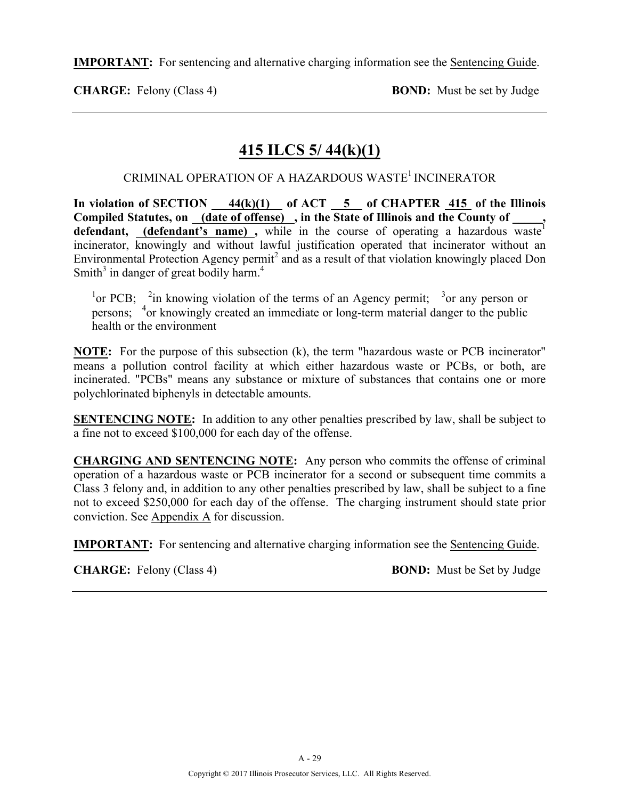**IMPORTANT:** For sentencing and alternative charging information see the Sentencing Guide.

**CHARGE:** Felony (Class 4) **BOND:** Must be set by Judge

# **415 ILCS 5/ 44(k)(1)**

### CRIMINAL OPERATION OF A HAZARDOUS WASTE<sup>1</sup> INCINERATOR

**In violation of SECTION 44(k)(1) of ACT 5 of CHAPTER 415 of the Illinois**  Compiled Statutes, on <u>(date of offense)</u>, in the State of Illinois and the County of \_\_\_\_\_, defendant, **(defendant's name)**, while in the course of operating a hazardous wastel incinerator, knowingly and without lawful justification operated that incinerator without an Environmental Protection Agency permit<sup>2</sup> and as a result of that violation knowingly placed Don Smith $3$  in danger of great bodily harm.<sup>4</sup>

<sup>1</sup> or PCB; <sup>2</sup>in knowing violation of the terms of an Agency permit; <sup>3</sup> or any person or persons; <sup>4</sup> or knowingly created an immediate or long-term material danger to the public health or the environment

**NOTE:** For the purpose of this subsection (k), the term "hazardous waste or PCB incinerator" means a pollution control facility at which either hazardous waste or PCBs, or both, are incinerated. "PCBs" means any substance or mixture of substances that contains one or more polychlorinated biphenyls in detectable amounts.

**SENTENCING NOTE:** In addition to any other penalties prescribed by law, shall be subject to a fine not to exceed \$100,000 for each day of the offense.

**CHARGING AND SENTENCING NOTE:** Any person who commits the offense of criminal operation of a hazardous waste or PCB incinerator for a second or subsequent time commits a Class 3 felony and, in addition to any other penalties prescribed by law, shall be subject to a fine not to exceed \$250,000 for each day of the offense. The charging instrument should state prior conviction. See Appendix A for discussion.

**IMPORTANT:** For sentencing and alternative charging information see the Sentencing Guide.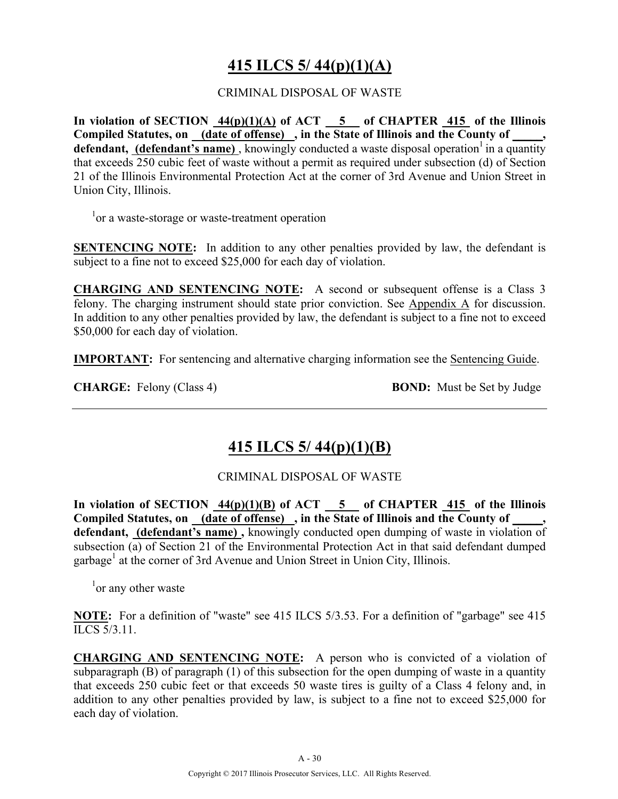# **415 ILCS 5/ 44(p)(1)(A)**

#### CRIMINAL DISPOSAL OF WASTE

In violation of SECTION  $\frac{44(p)(1)(A)}{A}$  of ACT  $\frac{5}{5}$  of CHAPTER  $\frac{415}{415}$  of the Illinois Compiled Statutes, on <u>(date of offense)</u>, in the State of Illinois and the County of \_\_\_\_, **defendant, (defendant's name)**, knowingly conducted a waste disposal operation in a quantity that exceeds 250 cubic feet of waste without a permit as required under subsection (d) of Section 21 of the Illinois Environmental Protection Act at the corner of 3rd Avenue and Union Street in Union City, Illinois.

<sup>1</sup> or a waste-storage or waste-treatment operation

**SENTENCING NOTE:** In addition to any other penalties provided by law, the defendant is subject to a fine not to exceed \$25,000 for each day of violation.

**CHARGING AND SENTENCING NOTE:** A second or subsequent offense is a Class 3 felony. The charging instrument should state prior conviction. See Appendix A for discussion. In addition to any other penalties provided by law, the defendant is subject to a fine not to exceed \$50,000 for each day of violation.

**IMPORTANT:** For sentencing and alternative charging information see the Sentencing Guide.

**CHARGE:** Felony (Class 4) **BOND:** Must be Set by Judge

# **415 ILCS 5/ 44(p)(1)(B)**

#### CRIMINAL DISPOSAL OF WASTE

In violation of SECTION  $\frac{44(p)(1)(B)}{10(b)}$  of ACT  $\frac{5}{10}$  of CHAPTER  $\frac{415}{100}$  of the Illinois Compiled Statutes, on (date of offense), in the State of Illinois and the County of **defendant, (defendant's name) ,** knowingly conducted open dumping of waste in violation of subsection (a) of Section 21 of the Environmental Protection Act in that said defendant dumped garbage<sup>1</sup> at the corner of 3rd Avenue and Union Street in Union City, Illinois.

<sup>1</sup> or any other waste

**NOTE:** For a definition of "waste" see 415 ILCS 5/3.53. For a definition of "garbage" see 415 ILCS 5/3.11.

**CHARGING AND SENTENCING NOTE:** A person who is convicted of a violation of subparagraph  $(B)$  of paragraph  $(1)$  of this subsection for the open dumping of waste in a quantity that exceeds 250 cubic feet or that exceeds 50 waste tires is guilty of a Class 4 felony and, in addition to any other penalties provided by law, is subject to a fine not to exceed \$25,000 for each day of violation.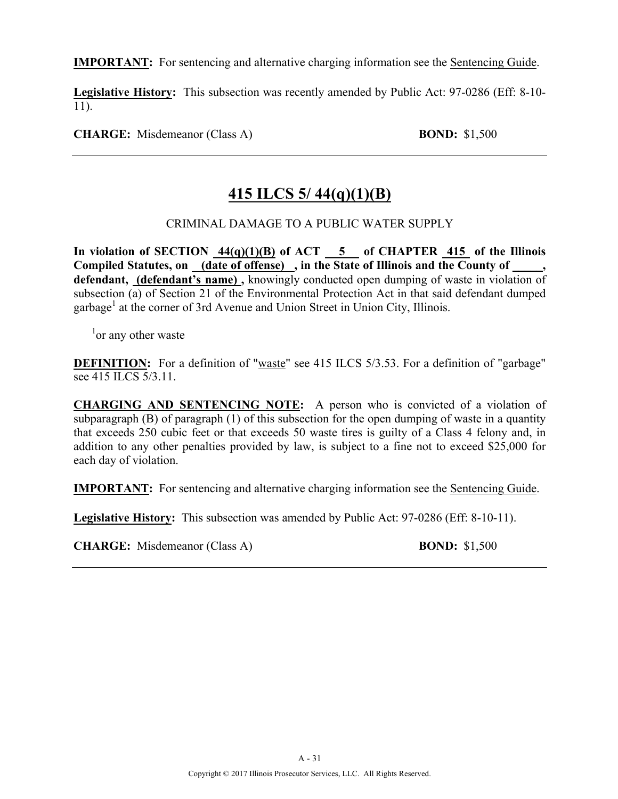**IMPORTANT:** For sentencing and alternative charging information see the Sentencing Guide.

**Legislative History:** This subsection was recently amended by Public Act: 97-0286 (Eff: 8-10- 11).

**CHARGE:** Misdemeanor (Class A) **BOND:** \$1,500

# **415 ILCS 5/ 44(q)(1)(B)**

### CRIMINAL DAMAGE TO A PUBLIC WATER SUPPLY

**In violation of SECTION 44(q)(1)(B) of ACT 5 of CHAPTER 415 of the Illinois**  Compiled Statutes, on (date of offense), in the State of Illinois and the County of defendant, **(defendant's name)**, knowingly conducted open dumping of waste in violation of subsection (a) of Section 21 of the Environmental Protection Act in that said defendant dumped garbage<sup>1</sup> at the corner of 3rd Avenue and Union Street in Union City, Illinois.

<sup>1</sup> or any other waste

**DEFINITION:** For a definition of "waste" see 415 ILCS 5/3.53. For a definition of "garbage" see 415 ILCS 5/3.11.

**CHARGING AND SENTENCING NOTE:** A person who is convicted of a violation of subparagraph (B) of paragraph (1) of this subsection for the open dumping of waste in a quantity that exceeds 250 cubic feet or that exceeds 50 waste tires is guilty of a Class 4 felony and, in addition to any other penalties provided by law, is subject to a fine not to exceed \$25,000 for each day of violation.

**IMPORTANT:** For sentencing and alternative charging information see the Sentencing Guide.

**Legislative History:** This subsection was amended by Public Act: 97-0286 (Eff: 8-10-11).

**CHARGE:** Misdemeanor (Class A) **BOND:** \$1,500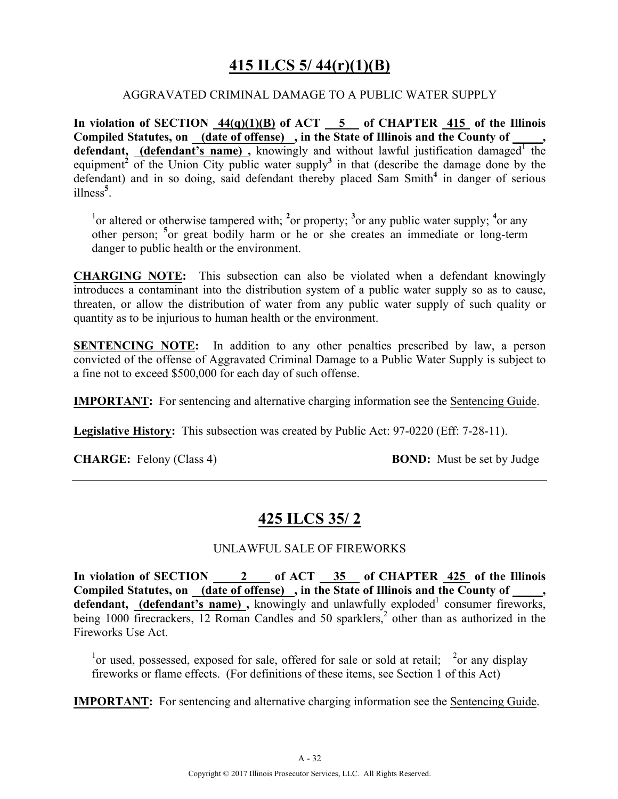# **415 ILCS 5/ 44(r)(1)(B)**

#### AGGRAVATED CRIMINAL DAMAGE TO A PUBLIC WATER SUPPLY

**In violation of SECTION 44(q)(1)(B) of ACT 5 of CHAPTER 415 of the Illinois Compiled Statutes, on (date of offense) , in the State of Illinois and the County of \_\_\_\_\_, defendant, (defendant's name)**, knowingly and without lawful justification damaged the equipment<sup>2</sup> of the Union City public water supply<sup>3</sup> in that (describe the damage done by the defendant) and in so doing, said defendant thereby placed Sam Smith**<sup>4</sup>** in danger of serious illness**<sup>5</sup>** .

<sup>1</sup> $\alpha$  altered or otherwise tampered with; <sup>2</sup> $\alpha$  property; <sup>3</sup> $\alpha$  any public water supply; <sup>4</sup> $\alpha$  any other person; **<sup>5</sup>** or great bodily harm or he or she creates an immediate or long-term danger to public health or the environment.

**CHARGING NOTE:** This subsection can also be violated when a defendant knowingly introduces a contaminant into the distribution system of a public water supply so as to cause, threaten, or allow the distribution of water from any public water supply of such quality or quantity as to be injurious to human health or the environment.

**SENTENCING NOTE:** In addition to any other penalties prescribed by law, a person convicted of the offense of Aggravated Criminal Damage to a Public Water Supply is subject to a fine not to exceed \$500,000 for each day of such offense.

**IMPORTANT:** For sentencing and alternative charging information see the Sentencing Guide.

**Legislative History:** This subsection was created by Public Act: 97-0220 (Eff: 7-28-11).

**CHARGE:** Felony (Class 4) **BOND:** Must be set by Judge

### **425 ILCS 35/ 2**

#### UNLAWFUL SALE OF FIREWORKS

**In violation of SECTION 2 of ACT 35 of CHAPTER 425 of the Illinois**  Compiled Statutes, on (date of offense), in the State of Illinois and the County of defendant, **(defendant's name)**, knowingly and unlawfully exploded<sup>1</sup> consumer fireworks, being 1000 firecrackers, 12 Roman Candles and 50 sparklers,<sup>2</sup> other than as authorized in the Fireworks Use Act.

<sup>1</sup> or used, possessed, exposed for sale, offered for sale or sold at retail; <sup>2</sup> or any display fireworks or flame effects. (For definitions of these items, see Section 1 of this Act)

**IMPORTANT:** For sentencing and alternative charging information see the Sentencing Guide.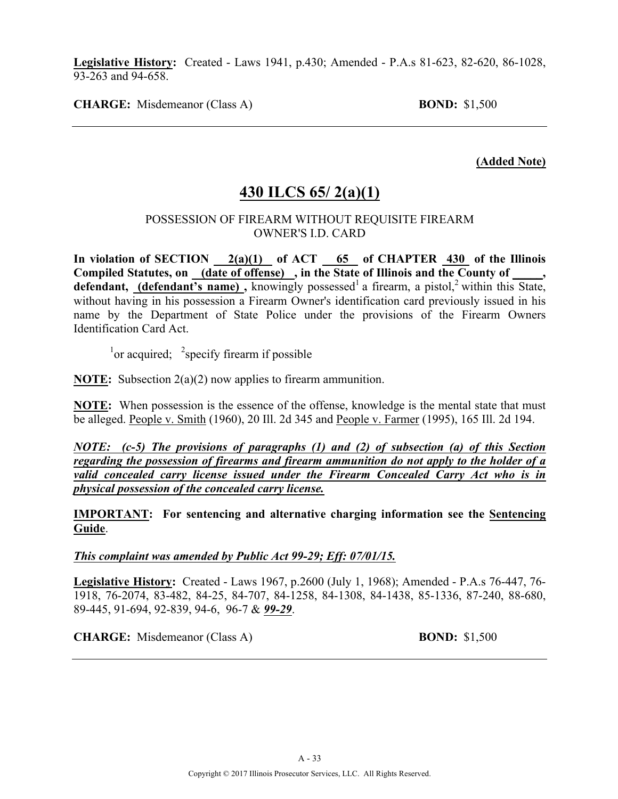**Legislative History:** Created - Laws 1941, p.430; Amended - P.A.s 81-623, 82-620, 86-1028, 93-263 and 94-658.

**CHARGE:** Misdemeanor (Class A) **BOND:** \$1,500

**(Added Note)**

### **430 ILCS 65/ 2(a)(1)**

#### POSSESSION OF FIREARM WITHOUT REQUISITE FIREARM OWNER'S I.D. CARD

In violation of SECTION  $2(a)(1)$  of ACT 65 of CHAPTER 430 of the Illinois **Compiled Statutes, on (date of offense) , in the State of Illinois and the County of \_\_\_\_\_, defendant, (defendant's name)**, knowingly possessed a firearm, a pistol, within this State, without having in his possession a Firearm Owner's identification card previously issued in his name by the Department of State Police under the provisions of the Firearm Owners Identification Card Act.

 $\frac{1}{2}$  or acquired;  $\frac{2}{2}$  specify firearm if possible

**NOTE:** Subsection 2(a)(2) now applies to firearm ammunition.

**NOTE:** When possession is the essence of the offense, knowledge is the mental state that must be alleged. People v. Smith (1960), 20 Ill. 2d 345 and People v. Farmer (1995), 165 Ill. 2d 194.

*NOTE: (c-5) The provisions of paragraphs (1) and (2) of subsection (a) of this Section regarding the possession of firearms and firearm ammunition do not apply to the holder of a*  valid concealed carry license issued under the Firearm Concealed Carry Act who is in *physical possession of the concealed carry license.*

**IMPORTANT: For sentencing and alternative charging information see the Sentencing Guide**.

#### *This complaint was amended by Public Act 99-29; Eff: 07/01/15.*

**Legislative History:** Created - Laws 1967, p.2600 (July 1, 1968); Amended - P.A.s 76-447, 76- 1918, 76-2074, 83-482, 84-25, 84-707, 84-1258, 84-1308, 84-1438, 85-1336, 87-240, 88-680, 89-445, 91-694, 92-839, 94-6, 96-7 & *99-29*.

**CHARGE:** Misdemeanor (Class A) **BOND:** \$1,500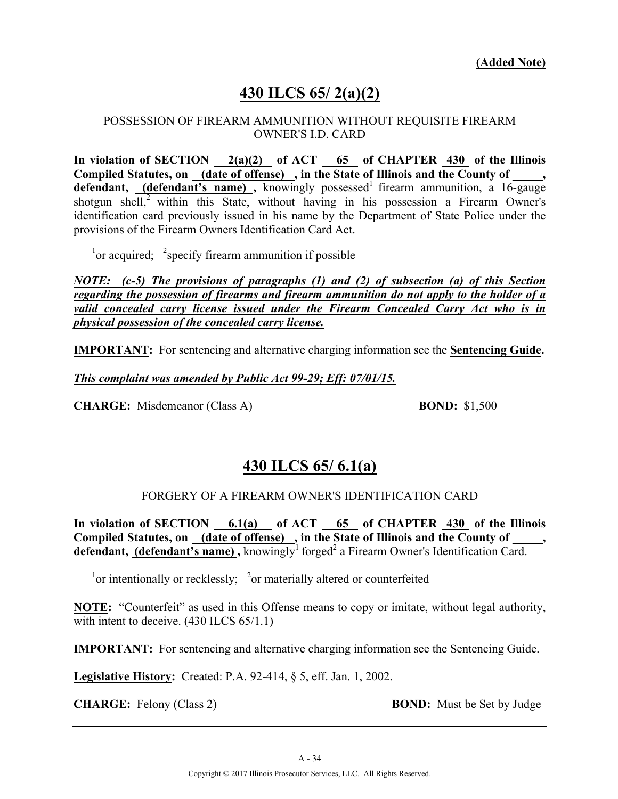# **430 ILCS 65/ 2(a)(2)**

#### POSSESSION OF FIREARM AMMUNITION WITHOUT REQUISITE FIREARM OWNER'S I.D. CARD

**In violation of SECTION 2(a)(2) of ACT 65 of CHAPTER 430 of the Illinois Compiled Statutes, on (date of offense) , in the State of Illinois and the County of \_\_\_\_\_, defendant, (defendant's name)**, knowingly possessed firearm ammunition, a 16-gauge shotgun shell, $<sup>2</sup>$  within this State, without having in his possession a Firearm Owner's</sup> identification card previously issued in his name by the Department of State Police under the provisions of the Firearm Owners Identification Card Act.

 $\frac{1}{1}$  or acquired;  $\frac{2}{3}$  specify firearm ammunition if possible

*NOTE: (c-5) The provisions of paragraphs (1) and (2) of subsection (a) of this Section regarding the possession of firearms and firearm ammunition do not apply to the holder of a valid concealed carry license issued under the Firearm Concealed Carry Act who is in physical possession of the concealed carry license.*

**IMPORTANT:** For sentencing and alternative charging information see the **Sentencing Guide.**

*This complaint was amended by Public Act 99-29; Eff: 07/01/15.*

**CHARGE:** Misdemeanor (Class A) **BOND:** \$1,500

### **430 ILCS 65/ 6.1(a)**

#### FORGERY OF A FIREARM OWNER'S IDENTIFICATION CARD

**In violation of SECTION 6.1(a) of ACT 65 of CHAPTER 430 of the Illinois**  Compiled Statutes, on <u>(date of offense)</u>, in the State of Illinois and the County of \_\_\_\_\_, **defendant, (defendant's name)**, knowingly<sup>1</sup> forged<sup>2</sup> a Firearm Owner's Identification Card.

 $\frac{1}{2}$  or intentionally or recklessly;  $\frac{2}{2}$  or materially altered or counterfeited

**NOTE:** "Counterfeit" as used in this Offense means to copy or imitate, without legal authority, with intent to deceive.  $(430$  ILCS  $65/1.1)$ 

**IMPORTANT:** For sentencing and alternative charging information see the Sentencing Guide.

**Legislative History:** Created: P.A. 92-414, § 5, eff. Jan. 1, 2002.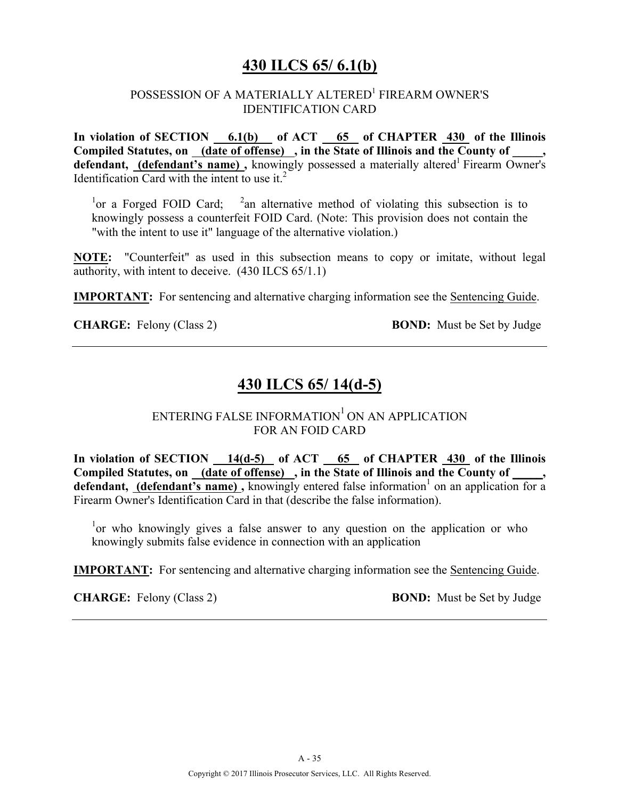### **430 ILCS 65/ 6.1(b)**

### POSSESSION OF A MATERIALLY ALTERED<sup>1</sup> FIREARM OWNER'S IDENTIFICATION CARD

In violation of SECTION 6.1(b) of ACT 65 of CHAPTER 430 of the Illinois Compiled Statutes, on (date of offense), in the State of Illinois and the County of, defendant, (defendant's name), knowingly possessed a materially altered<sup>1</sup> Firearm Owner's Identification Card with the intent to use it. $2$ 

<sup>1</sup>or a Forged FOID Card; <sup>2</sup>an alternative method of violating this subsection is to knowingly possess a counterfeit FOID Card. (Note: This provision does not contain the "with the intent to use it" language of the alternative violation.)

**NOTE:** "Counterfeit" as used in this subsection means to copy or imitate, without legal authority, with intent to deceive. (430 ILCS 65/1.1)

**IMPORTANT:** For sentencing and alternative charging information see the Sentencing Guide.

**CHARGE:** Felony (Class 2) **BOND:** Must be Set by Judge

# **430 ILCS 65/ 14(d-5)**

### ENTERING FALSE INFORMATION $1$  ON AN APPLICATION FOR AN FOID CARD

**In violation of SECTION 14(d-5) of ACT 65 of CHAPTER 430 of the Illinois Compiled Statutes, on (date of offense) , in the State of Illinois and the County of \_\_\_\_\_, defendant, (defendant's name)**, knowingly entered false information<sup>1</sup> on an application for a Firearm Owner's Identification Card in that (describe the false information).

<sup>1</sup> or who knowingly gives a false answer to any question on the application or who knowingly submits false evidence in connection with an application

**IMPORTANT:** For sentencing and alternative charging information see the Sentencing Guide.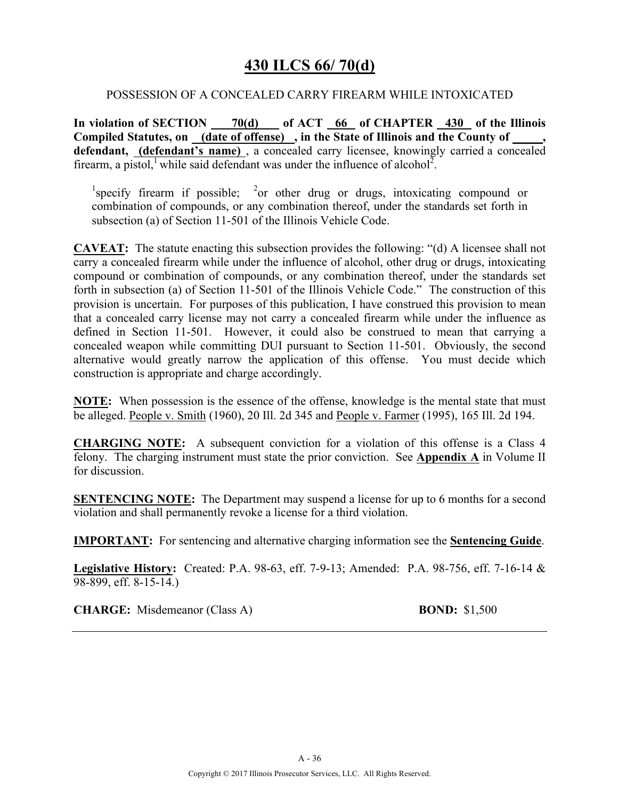### **430 ILCS 66/ 70(d)**

#### POSSESSION OF A CONCEALED CARRY FIREARM WHILE INTOXICATED

**In violation of SECTION 70(d) of ACT 66 of CHAPTER 430 of the Illinois**  Compiled Statutes, on (date of offense), in the State of Illinois and the County of **defendant, (defendant's name)** , a concealed carry licensee, knowingly carried a concealed firearm, a pistol, while said defendant was under the influence of alcohol<sup>2</sup>.

<sup>1</sup>specify firearm if possible; <sup>2</sup>or other drug or drugs, intoxicating compound or combination of compounds, or any combination thereof, under the standards set forth in subsection (a) of Section 11-501 of the Illinois Vehicle Code.

**CAVEAT:** The statute enacting this subsection provides the following: "(d) A licensee shall not carry a concealed firearm while under the influence of alcohol, other drug or drugs, intoxicating compound or combination of compounds, or any combination thereof, under the standards set forth in subsection (a) of Section 11-501 of the Illinois Vehicle Code." The construction of this provision is uncertain. For purposes of this publication, I have construed this provision to mean that a concealed carry license may not carry a concealed firearm while under the influence as defined in Section 11-501. However, it could also be construed to mean that carrying a concealed weapon while committing DUI pursuant to Section 11-501. Obviously, the second alternative would greatly narrow the application of this offense. You must decide which construction is appropriate and charge accordingly.

**NOTE:** When possession is the essence of the offense, knowledge is the mental state that must be alleged. People v. Smith (1960), 20 Ill. 2d 345 and People v. Farmer (1995), 165 Ill. 2d 194.

**CHARGING NOTE:** A subsequent conviction for a violation of this offense is a Class 4 felony. The charging instrument must state the prior conviction. See **Appendix A** in Volume II for discussion.

**SENTENCING NOTE:** The Department may suspend a license for up to 6 months for a second violation and shall permanently revoke a license for a third violation.

**IMPORTANT:** For sentencing and alternative charging information see the **Sentencing Guide**.

**Legislative History:** Created: P.A. 98-63, eff. 7-9-13; Amended: P.A. 98-756, eff. 7-16-14 & 98-899, eff. 8-15-14.)

**CHARGE:** Misdemeanor (Class A) **BOND:** \$1,500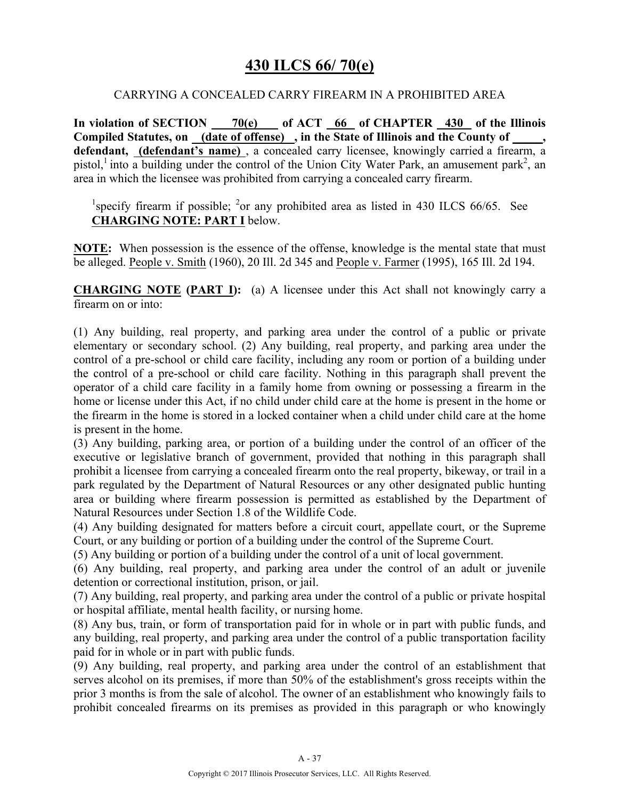### **430 ILCS 66/ 70(e)**

#### CARRYING A CONCEALED CARRY FIREARM IN A PROHIBITED AREA

**In violation of SECTION 70(e) of ACT 66 of CHAPTER 430 of the Illinois Compiled Statutes, on (date of offense) , in the State of Illinois and the County of \_\_\_\_\_, defendant, (defendant's name)** , a concealed carry licensee, knowingly carried a firearm, a pistol,<sup>1</sup> into a building under the control of the Union City Water Park, an amusement park<sup>2</sup>, an area in which the licensee was prohibited from carrying a concealed carry firearm.

<sup>1</sup>specify firearm if possible; <sup>2</sup>or any prohibited area as listed in 430 ILCS 66/65. See **CHARGING NOTE: PART I** below.

**NOTE:** When possession is the essence of the offense, knowledge is the mental state that must be alleged. People v. Smith (1960), 20 Ill. 2d 345 and People v. Farmer (1995), 165 Ill. 2d 194.

**CHARGING NOTE (PART I):** (a) A licensee under this Act shall not knowingly carry a firearm on or into:

(1) Any building, real property, and parking area under the control of a public or private elementary or secondary school. (2) Any building, real property, and parking area under the control of a pre-school or child care facility, including any room or portion of a building under the control of a pre-school or child care facility. Nothing in this paragraph shall prevent the operator of a child care facility in a family home from owning or possessing a firearm in the home or license under this Act, if no child under child care at the home is present in the home or the firearm in the home is stored in a locked container when a child under child care at the home is present in the home.

(3) Any building, parking area, or portion of a building under the control of an officer of the executive or legislative branch of government, provided that nothing in this paragraph shall prohibit a licensee from carrying a concealed firearm onto the real property, bikeway, or trail in a park regulated by the Department of Natural Resources or any other designated public hunting area or building where firearm possession is permitted as established by the Department of Natural Resources under Section 1.8 of the Wildlife Code.

(4) Any building designated for matters before a circuit court, appellate court, or the Supreme Court, or any building or portion of a building under the control of the Supreme Court.

(5) Any building or portion of a building under the control of a unit of local government.

(6) Any building, real property, and parking area under the control of an adult or juvenile detention or correctional institution, prison, or jail.

(7) Any building, real property, and parking area under the control of a public or private hospital or hospital affiliate, mental health facility, or nursing home.

(8) Any bus, train, or form of transportation paid for in whole or in part with public funds, and any building, real property, and parking area under the control of a public transportation facility paid for in whole or in part with public funds.

(9) Any building, real property, and parking area under the control of an establishment that serves alcohol on its premises, if more than 50% of the establishment's gross receipts within the prior 3 months is from the sale of alcohol. The owner of an establishment who knowingly fails to prohibit concealed firearms on its premises as provided in this paragraph or who knowingly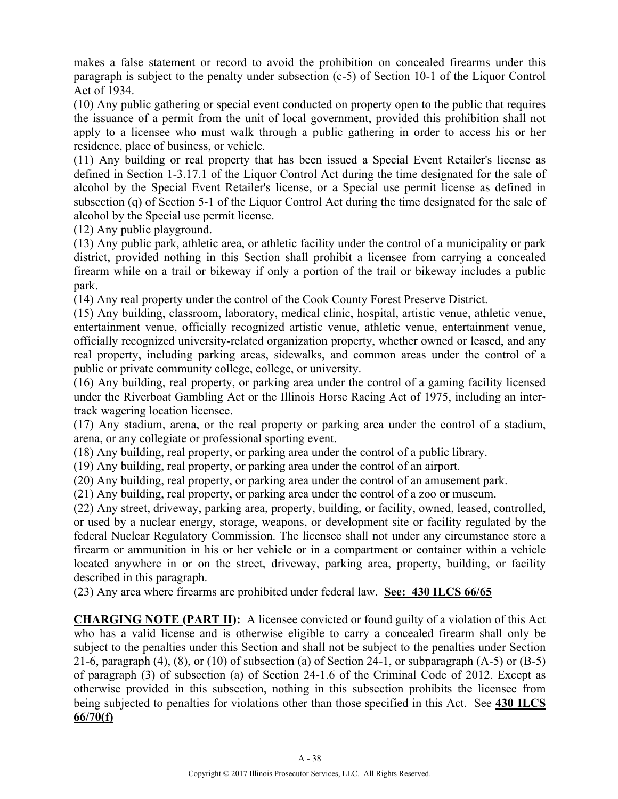makes a false statement or record to avoid the prohibition on concealed firearms under this paragraph is subject to the penalty under subsection (c-5) of Section 10-1 of the Liquor Control Act of 1934.

(10) Any public gathering or special event conducted on property open to the public that requires the issuance of a permit from the unit of local government, provided this prohibition shall not apply to a licensee who must walk through a public gathering in order to access his or her residence, place of business, or vehicle.

(11) Any building or real property that has been issued a Special Event Retailer's license as defined in Section 1-3.17.1 of the Liquor Control Act during the time designated for the sale of alcohol by the Special Event Retailer's license, or a Special use permit license as defined in subsection (q) of Section 5-1 of the Liquor Control Act during the time designated for the sale of alcohol by the Special use permit license.

(12) Any public playground.

(13) Any public park, athletic area, or athletic facility under the control of a municipality or park district, provided nothing in this Section shall prohibit a licensee from carrying a concealed firearm while on a trail or bikeway if only a portion of the trail or bikeway includes a public park.

(14) Any real property under the control of the Cook County Forest Preserve District.

(15) Any building, classroom, laboratory, medical clinic, hospital, artistic venue, athletic venue, entertainment venue, officially recognized artistic venue, athletic venue, entertainment venue, officially recognized university-related organization property, whether owned or leased, and any real property, including parking areas, sidewalks, and common areas under the control of a public or private community college, college, or university.

(16) Any building, real property, or parking area under the control of a gaming facility licensed under the Riverboat Gambling Act or the Illinois Horse Racing Act of 1975, including an intertrack wagering location licensee.

(17) Any stadium, arena, or the real property or parking area under the control of a stadium, arena, or any collegiate or professional sporting event.

(18) Any building, real property, or parking area under the control of a public library.

(19) Any building, real property, or parking area under the control of an airport.

(20) Any building, real property, or parking area under the control of an amusement park.

(21) Any building, real property, or parking area under the control of a zoo or museum.

(22) Any street, driveway, parking area, property, building, or facility, owned, leased, controlled, or used by a nuclear energy, storage, weapons, or development site or facility regulated by the federal Nuclear Regulatory Commission. The licensee shall not under any circumstance store a firearm or ammunition in his or her vehicle or in a compartment or container within a vehicle located anywhere in or on the street, driveway, parking area, property, building, or facility described in this paragraph.

(23) Any area where firearms are prohibited under federal law. **See: 430 ILCS 66/65**

**CHARGING NOTE (PART II):** A licensee convicted or found guilty of a violation of this Act who has a valid license and is otherwise eligible to carry a concealed firearm shall only be subject to the penalties under this Section and shall not be subject to the penalties under Section 21-6, paragraph  $(4)$ ,  $(8)$ , or  $(10)$  of subsection  $(a)$  of Section 24-1, or subparagraph  $(A-5)$  or  $(B-5)$ of paragraph (3) of subsection (a) of Section 24-1.6 of the Criminal Code of 2012. Except as otherwise provided in this subsection, nothing in this subsection prohibits the licensee from being subjected to penalties for violations other than those specified in this Act. See **430 ILCS 66/70(f)**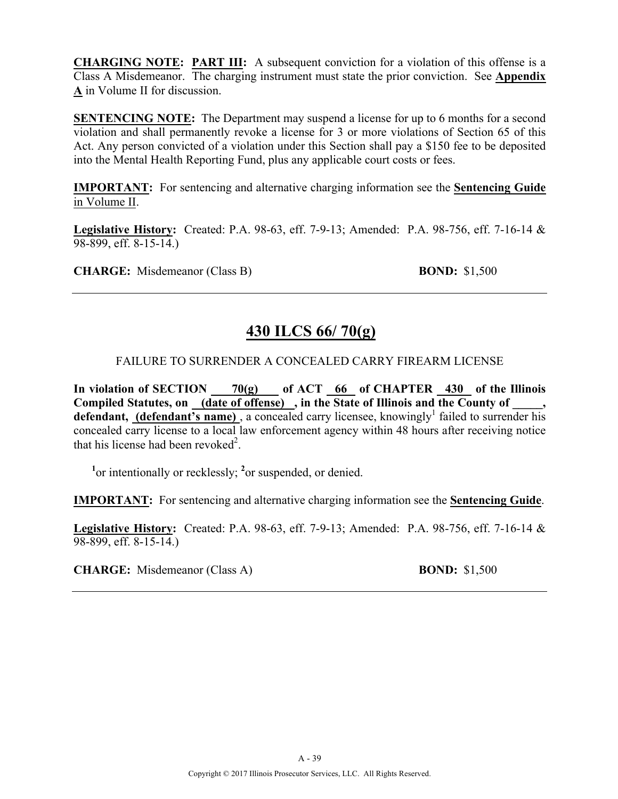**CHARGING NOTE: PART III:** A subsequent conviction for a violation of this offense is a Class A Misdemeanor. The charging instrument must state the prior conviction. See **Appendix A** in Volume II for discussion.

**SENTENCING NOTE:** The Department may suspend a license for up to 6 months for a second violation and shall permanently revoke a license for 3 or more violations of Section 65 of this Act. Any person convicted of a violation under this Section shall pay a \$150 fee to be deposited into the Mental Health Reporting Fund, plus any applicable court costs or fees.

**IMPORTANT:** For sentencing and alternative charging information see the **Sentencing Guide** in Volume II.

**Legislative History:** Created: P.A. 98-63, eff. 7-9-13; Amended: P.A. 98-756, eff. 7-16-14 & 98-899, eff. 8-15-14.)

**CHARGE:** Misdemeanor (Class B) **BOND:** \$1,500

# **430 ILCS 66/ 70(g)**

#### FAILURE TO SURRENDER A CONCEALED CARRY FIREARM LICENSE

**In violation of SECTION 70(g) of ACT 66 of CHAPTER 430 of the Illinois**  Compiled Statutes, on (date of offense), in the State of Illinois and the County of **defendant, (defendant's name)**, a concealed carry licensee, knowingly<sup>1</sup> failed to surrender his concealed carry license to a local law enforcement agency within 48 hours after receiving notice that his license had been revoked<sup>2</sup>.

<sup>1</sup> or intentionally or recklessly; <sup>2</sup> or suspended, or denied.

**IMPORTANT:** For sentencing and alternative charging information see the **Sentencing Guide**.

**Legislative History:** Created: P.A. 98-63, eff. 7-9-13; Amended: P.A. 98-756, eff. 7-16-14 & 98-899, eff. 8-15-14.)

**CHARGE:** Misdemeanor (Class A) **BOND:** \$1,500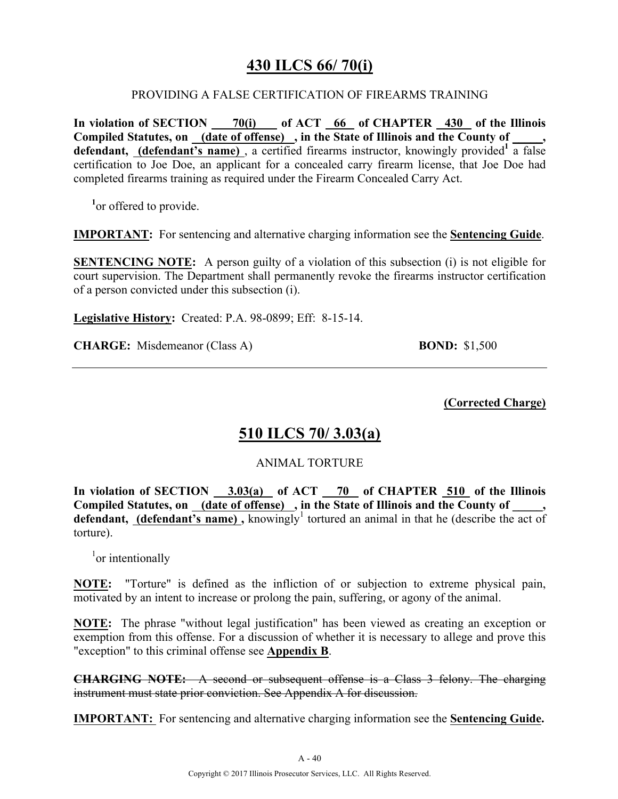# **430 ILCS 66/ 70(i)**

#### PROVIDING A FALSE CERTIFICATION OF FIREARMS TRAINING

**In violation of SECTION 70(i) of ACT 66 of CHAPTER 430 of the Illinois Compiled Statutes, on (date of offense) , in the State of Illinois and the County of \_\_\_\_\_, defendant, (defendant's name)** , a certified firearms instructor, knowingly provided**<sup>1</sup>** a false certification to Joe Doe, an applicant for a concealed carry firearm license, that Joe Doe had completed firearms training as required under the Firearm Concealed Carry Act.

<sup>1</sup> or offered to provide.

**IMPORTANT:** For sentencing and alternative charging information see the **Sentencing Guide**.

**SENTENCING NOTE:** A person guilty of a violation of this subsection (i) is not eligible for court supervision. The Department shall permanently revoke the firearms instructor certification of a person convicted under this subsection (i).

**Legislative History:** Created: P.A. 98-0899; Eff: 8-15-14.

**CHARGE:** Misdemeanor (Class A) **BOND:** \$1,500

**(Corrected Charge)**

### **510 ILCS 70/ 3.03(a)**

### ANIMAL TORTURE

**In violation of SECTION 3.03(a) of ACT 70 of CHAPTER 510 of the Illinois Compiled Statutes, on (date of offense) , in the State of Illinois and the County of \_\_\_\_\_, defendant, (defendant's name)**, knowingly<sup>1</sup> tortured an animal in that he (describe the act of torture).

<sup>1</sup>or intentionally

**NOTE:** "Torture" is defined as the infliction of or subjection to extreme physical pain, motivated by an intent to increase or prolong the pain, suffering, or agony of the animal.

**NOTE:** The phrase "without legal justification" has been viewed as creating an exception or exemption from this offense. For a discussion of whether it is necessary to allege and prove this "exception" to this criminal offense see **Appendix B**.

**CHARGING NOTE:** A second or subsequent offense is a Class 3 felony. The charging instrument must state prior conviction. See Appendix A for discussion.

**IMPORTANT:** For sentencing and alternative charging information see the **Sentencing Guide.**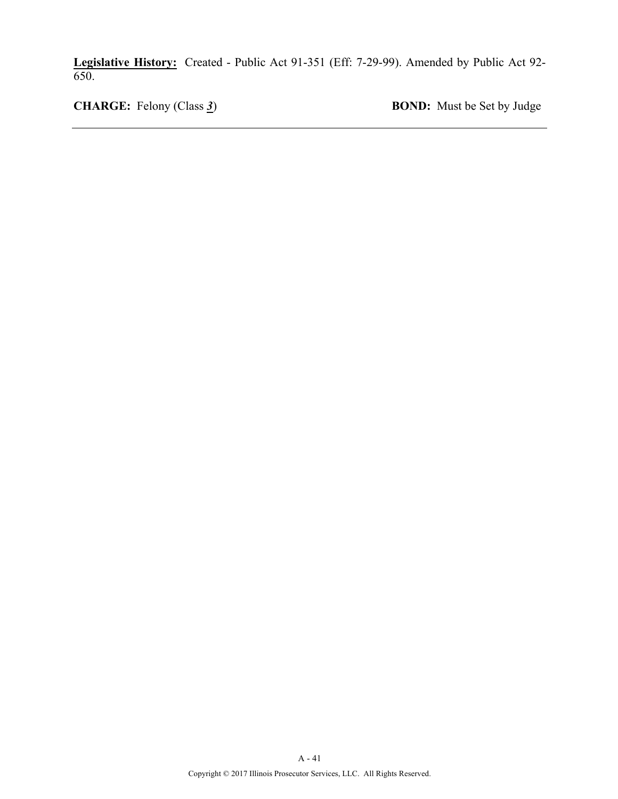**Legislative History:** Created - Public Act 91-351 (Eff: 7-29-99). Amended by Public Act 92- 650.